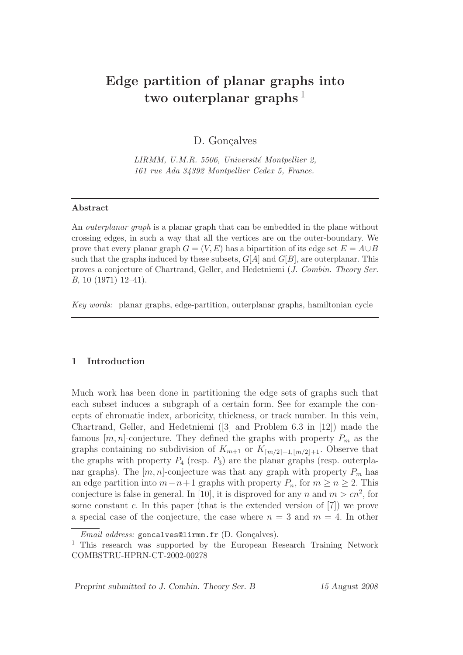# Edge partition of planar graphs into two outerplanar graphs<sup>1</sup>

D. Gonçalves

LIRMM, U.M.R. 5506, Université Montpellier 2, 161 rue Ada 34392 Montpellier Cedex 5, France.

## Abstract

An *outerplanar graph* is a planar graph that can be embedded in the plane without crossing edges, in such a way that all the vertices are on the outer-boundary. We prove that every planar graph  $G = (V, E)$  has a bipartition of its edge set  $E = A \cup B$ such that the graphs induced by these subsets,  $G[A]$  and  $G[B]$ , are outerplanar. This proves a conjecture of Chartrand, Geller, and Hedetniemi (J. Combin. Theory Ser. B, 10 (1971) 12–41).

Key words: planar graphs, edge-partition, outerplanar graphs, hamiltonian cycle

## 1 Introduction

Much work has been done in partitioning the edge sets of graphs such that each subset induces a subgraph of a certain form. See for example the concepts of chromatic index, arboricity, thickness, or track number. In this vein, Chartrand, Geller, and Hedetniemi ([3] and Problem 6.3 in [12]) made the famous  $[m, n]$ -conjecture. They defined the graphs with property  $P_m$  as the graphs containing no subdivision of  $K_{m+1}$  or  $K_{\lceil m/2 \rceil+1, \lceil m/2 \rceil+1}$ . Observe that the graphs with property  $P_4$  (resp.  $P_3$ ) are the planar graphs (resp. outerplanar graphs). The  $[m, n]$ -conjecture was that any graph with property  $P_m$  has an edge partition into  $m-n+1$  graphs with property  $P_n$ , for  $m \geq n \geq 2$ . This conjecture is false in general. In [10], it is disproved for any n and  $m > cn^2$ , for some constant c. In this paper (that is the extended version of  $[7]$ ) we prove a special case of the conjecture, the case where  $n = 3$  and  $m = 4$ . In other

Preprint submitted to J. Combin. Theory Ser. B 15 August 2008

 $Email \ address: \texttt{goncalves} \Omega \texttt{limm.fr}$  (D. Gonçalves).

<sup>1</sup> This research was supported by the European Research Training Network COMBSTRU-HPRN-CT-2002-00278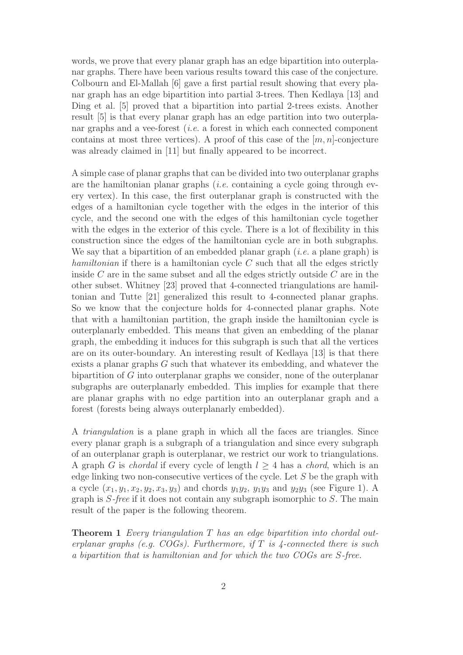words, we prove that every planar graph has an edge bipartition into outerplanar graphs. There have been various results toward this case of the conjecture. Colbourn and El-Mallah [6] gave a first partial result showing that every planar graph has an edge bipartition into partial 3-trees. Then Kedlaya [13] and Ding et al. [5] proved that a bipartition into partial 2-trees exists. Another result [5] is that every planar graph has an edge partition into two outerplanar graphs and a vee-forest *(i.e.* a forest in which each connected component contains at most three vertices). A proof of this case of the  $[m, n]$ -conjecture was already claimed in [11] but finally appeared to be incorrect.

A simple case of planar graphs that can be divided into two outerplanar graphs are the hamiltonian planar graphs (*i.e.* containing a cycle going through every vertex). In this case, the first outerplanar graph is constructed with the edges of a hamiltonian cycle together with the edges in the interior of this cycle, and the second one with the edges of this hamiltonian cycle together with the edges in the exterior of this cycle. There is a lot of flexibility in this construction since the edges of the hamiltonian cycle are in both subgraphs. We say that a bipartition of an embedded planar graph  $(i.e.$  a plane graph) is hamiltonian if there is a hamiltonian cycle  $C$  such that all the edges strictly inside  $C$  are in the same subset and all the edges strictly outside  $C$  are in the other subset. Whitney [23] proved that 4-connected triangulations are hamiltonian and Tutte [21] generalized this result to 4-connected planar graphs. So we know that the conjecture holds for 4-connected planar graphs. Note that with a hamiltonian partition, the graph inside the hamiltonian cycle is outerplanarly embedded. This means that given an embedding of the planar graph, the embedding it induces for this subgraph is such that all the vertices are on its outer-boundary. An interesting result of Kedlaya [13] is that there exists a planar graphs  $G$  such that whatever its embedding, and whatever the bipartition of G into outerplanar graphs we consider, none of the outerplanar subgraphs are outerplanarly embedded. This implies for example that there are planar graphs with no edge partition into an outerplanar graph and a forest (forests being always outerplanarly embedded).

A triangulation is a plane graph in which all the faces are triangles. Since every planar graph is a subgraph of a triangulation and since every subgraph of an outerplanar graph is outerplanar, we restrict our work to triangulations. A graph G is *chordal* if every cycle of length  $l \geq 4$  has a *chord*, which is an edge linking two non-consecutive vertices of the cycle. Let S be the graph with a cycle  $(x_1, y_1, x_2, y_2, x_3, y_3)$  and chords  $y_1y_2, y_1y_3$  and  $y_2y_3$  (see Figure 1). A graph is  $S$ -free if it does not contain any subgraph isomorphic to  $S$ . The main result of the paper is the following theorem.

Theorem 1 Every triangulation T has an edge bipartition into chordal outerplanar graphs (e.g.  $COGs$ ). Furthermore, if T is 4-connected there is such a bipartition that is hamiltonian and for which the two COGs are S-free.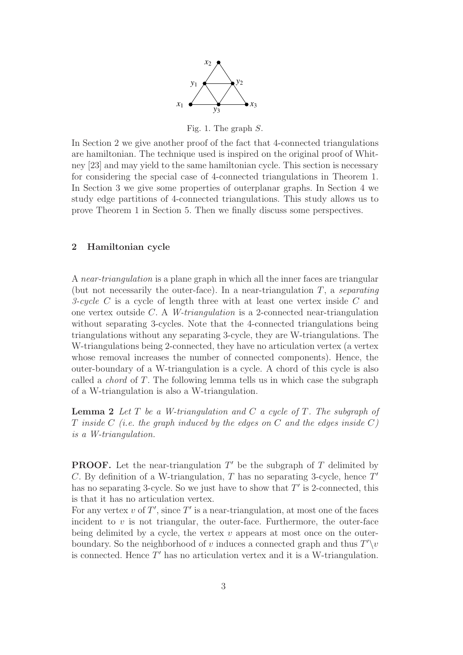

Fig. 1. The graph S.

In Section 2 we give another proof of the fact that 4-connected triangulations are hamiltonian. The technique used is inspired on the original proof of Whitney [23] and may yield to the same hamiltonian cycle. This section is necessary for considering the special case of 4-connected triangulations in Theorem 1. In Section 3 we give some properties of outerplanar graphs. In Section 4 we study edge partitions of 4-connected triangulations. This study allows us to prove Theorem 1 in Section 5. Then we finally discuss some perspectives.

## 2 Hamiltonian cycle

A near-triangulation is a plane graph in which all the inner faces are triangular (but not necessarily the outer-face). In a near-triangulation  $T$ , a separating 3-cycle  $C$  is a cycle of length three with at least one vertex inside  $C$  and one vertex outside C. A W-triangulation is a 2-connected near-triangulation without separating 3-cycles. Note that the 4-connected triangulations being triangulations without any separating 3-cycle, they are W-triangulations. The W-triangulations being 2-connected, they have no articulation vertex (a vertex whose removal increases the number of connected components). Hence, the outer-boundary of a W-triangulation is a cycle. A chord of this cycle is also called a *chord* of  $T$ . The following lemma tells us in which case the subgraph of a W-triangulation is also a W-triangulation.

**Lemma 2** Let  $T$  be a W-triangulation and  $C$  a cycle of  $T$ . The subgraph of T inside C (i.e. the graph induced by the edges on C and the edges inside  $C$ ) is a W-triangulation.

**PROOF.** Let the near-triangulation  $T'$  be the subgraph of  $T$  delimited by C. By definition of a W-triangulation, T has no separating 3-cycle, hence  $T'$ has no separating 3-cycle. So we just have to show that  $T'$  is 2-connected, this is that it has no articulation vertex.

For any vertex  $v$  of  $T'$ , since  $T'$  is a near-triangulation, at most one of the faces incident to  $v$  is not triangular, the outer-face. Furthermore, the outer-face being delimited by a cycle, the vertex  $v$  appears at most once on the outerboundary. So the neighborhood of v induces a connected graph and thus  $T'\y0$ is connected. Hence  $T'$  has no articulation vertex and it is a W-triangulation.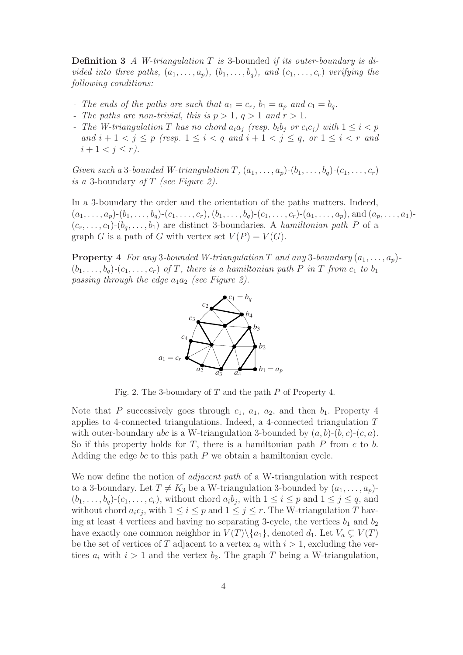Definition 3 A W-triangulation T is 3-bounded if its outer-boundary is divided into three paths,  $(a_1, \ldots, a_p)$ ,  $(b_1, \ldots, b_q)$ , and  $(c_1, \ldots, c_r)$  verifying the following conditions:

- The ends of the paths are such that  $a_1 = c_r$ ,  $b_1 = a_p$  and  $c_1 = b_q$ .
- The paths are non-trivial, this is  $p > 1$ ,  $q > 1$  and  $r > 1$ .
- The W-triangulation T has no chord  $a_i a_j$  (resp.  $b_i b_j$  or  $c_i c_j$ ) with  $1 \leq i < p$ and  $i+1 < j \leq p$  (resp.  $1 \leq i < q$  and  $i+1 < j \leq q$ , or  $1 \leq i < r$  and  $i + 1 < j \leq r$ ).

Given such a 3-bounded W-triangulation  $T$ ,  $(a_1, \ldots, a_p)$ - $(b_1, \ldots, b_q)$ - $(c_1, \ldots, c_r)$ is a 3-boundary of  $T$  (see Figure 2).

In a 3-boundary the order and the orientation of the paths matters. Indeed,  $(a_1,\ldots,a_p)-(b_1,\ldots,b_q)-(c_1,\ldots,c_r), (b_1,\ldots,b_q)-(c_1,\ldots,c_r)-(a_1,\ldots,a_p),$  and  $(a_p,\ldots,a_1) (c_r,\ldots,c_1)-(b_q,\ldots,b_1)$  are distinct 3-boundaries. A hamiltonian path P of a graph G is a path of G with vertex set  $V(P) = V(G)$ .

**Property 4** For any 3-bounded W-triangulation T and any 3-boundary  $(a_1, \ldots, a_p)$ - $(b_1,\ldots,b_q)$ - $(c_1,\ldots,c_r)$  of T, there is a hamiltonian path P in T from  $c_1$  to  $b_1$ passing through the edge  $a_1a_2$  (see Figure 2).



Fig. 2. The 3-boundary of  $T$  and the path  $P$  of Property 4.

Note that P successively goes through  $c_1$ ,  $a_1$ ,  $a_2$ , and then  $b_1$ . Property 4 applies to 4-connected triangulations. Indeed, a 4-connected triangulation T with outer-boundary *abc* is a W-triangulation 3-bounded by  $(a, b)-(b, c)-(c, a)$ . So if this property holds for  $T$ , there is a hamiltonian path  $P$  from  $c$  to  $b$ . Adding the edge  $bc$  to this path  $P$  we obtain a hamiltonian cycle.

We now define the notion of *adjacent path* of a W-triangulation with respect to a 3-boundary. Let  $T \neq K_3$  be a W-triangulation 3-bounded by  $(a_1,\ldots,a_p)$ - $(b_1,\ldots,b_q)$ - $(c_1,\ldots,c_r)$ , without chord  $a_ib_j$ , with  $1 \leq i \leq p$  and  $1 \leq j \leq q$ , and without chord  $a_i c_j$ , with  $1 \leq i \leq p$  and  $1 \leq j \leq r$ . The W-triangulation T having at least 4 vertices and having no separating 3-cycle, the vertices  $b_1$  and  $b_2$ have exactly one common neighbor in  $V(T)\setminus \{a_1\}$ , denoted  $d_1$ . Let  $V_a \subsetneq V(T)$ be the set of vertices of T adjacent to a vertex  $a_i$  with  $i > 1$ , excluding the vertices  $a_i$  with  $i > 1$  and the vertex  $b_2$ . The graph T being a W-triangulation,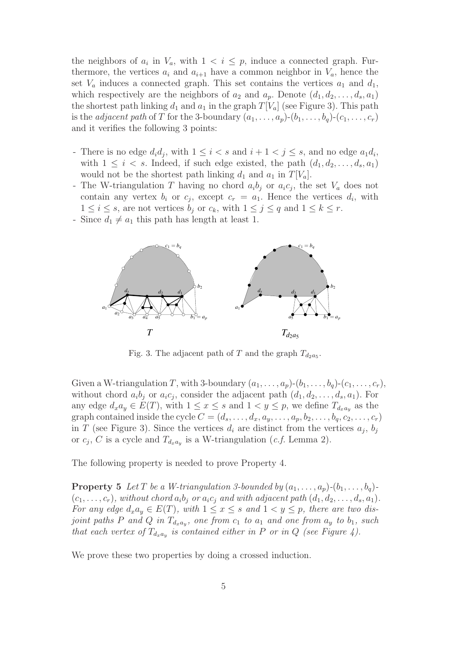the neighbors of  $a_i$  in  $V_a$ , with  $1 \leq i \leq p$ , induce a connected graph. Furthermore, the vertices  $a_i$  and  $a_{i+1}$  have a common neighbor in  $V_a$ , hence the set  $V_a$  induces a connected graph. This set contains the vertices  $a_1$  and  $d_1$ , which respectively are the neighbors of  $a_2$  and  $a_p$ . Denote  $(d_1, d_2, \ldots, d_s, a_1)$ the shortest path linking  $d_1$  and  $a_1$  in the graph  $T[V_a]$  (see Figure 3). This path is the *adjacent path* of T for the 3-boundary  $(a_1, \ldots, a_p)$ - $(b_1, \ldots, b_q)$ - $(c_1, \ldots, c_r)$ and it verifies the following 3 points:

- There is no edge  $d_i d_j$ , with  $1 \leq i < s$  and  $i + 1 < j \leq s$ , and no edge  $a_1 d_i$ , with  $1 \leq i \leq s$ . Indeed, if such edge existed, the path  $(d_1, d_2, \ldots, d_s, a_1)$ would not be the shortest path linking  $d_1$  and  $a_1$  in  $T[V_a]$ .
- The W-triangulation T having no chord  $a_i b_j$  or  $a_i c_j$ , the set  $V_a$  does not contain any vertex  $b_i$  or  $c_j$ , except  $c_r = a_1$ . Hence the vertices  $d_i$ , with  $1 \leq i \leq s$ , are not vertices  $b_j$  or  $c_k$ , with  $1 \leq j \leq q$  and  $1 \leq k \leq r$ .
- Since  $d_1 \neq a_1$  this path has length at least 1.



Fig. 3. The adjacent path of T and the graph  $T_{d_2a_5}$ .

Given a W-triangulation T, with 3-boundary  $(a_1,\ldots,a_p)(b_1,\ldots,b_q)(c_1,\ldots,c_r)$ , without chord  $a_i b_j$  or  $a_i c_j$ , consider the adjacent path  $(d_1, d_2, \ldots, d_s, a_1)$ . For any edge  $d_x a_y \in E(T)$ , with  $1 \le x \le s$  and  $1 < y \le p$ , we define  $T_{d_x a_y}$  as the graph contained inside the cycle  $C = (d_s, \ldots, d_x, a_y, \ldots, a_p, b_2, \ldots, b_q, c_2, \ldots, c_r)$ in T (see Figure 3). Since the vertices  $d_i$  are distinct from the vertices  $a_j$ ,  $b_j$ or  $c_j$ , C is a cycle and  $T_{d_xa_y}$  is a W-triangulation (*c.f.* Lemma 2).

The following property is needed to prove Property 4.

**Property 5** Let T be a W-triangulation 3-bounded by  $(a_1, \ldots, a_p)$ - $(b_1, \ldots, b_q)$ - $(c_1,\ldots,c_r)$ , without chord  $a_ib_j$  or  $a_ic_j$  and with adjacent path  $(d_1, d_2,\ldots, d_s, a_1)$ . For any edge  $d_x a_y \in E(T)$ , with  $1 \le x \le s$  and  $1 \le y \le p$ , there are two disjoint paths P and Q in  $T_{d_x a_y}$ , one from  $c_1$  to  $a_1$  and one from  $a_y$  to  $b_1$ , such that each vertex of  $T_{d_xa_y}$  is contained either in P or in Q (see Figure 4).

We prove these two properties by doing a crossed induction.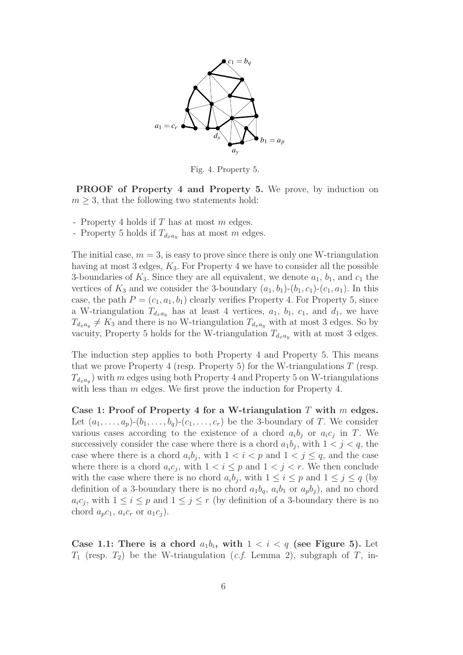

Fig. 4. Property 5.

PROOF of Property 4 and Property 5. We prove, by induction on  $m \geq 3$ , that the following two statements hold:

- Property 4 holds if  $T$  has at most  $m$  edges.
- Property 5 holds if  $T_{d_xa_y}$  has at most m edges.

The initial case,  $m = 3$ , is easy to prove since there is only one W-triangulation having at most 3 edges,  $K_3$ . For Property 4 we have to consider all the possible 3-boundaries of  $K_3$ . Since they are all equivalent, we denote  $a_1, b_1$ , and  $c_1$  the vertices of  $K_3$  and we consider the 3-boundary  $(a_1, b_1)$ - $(b_1, c_1)$ - $(c_1, a_1)$ . In this case, the path  $P = (c_1, a_1, b_1)$  clearly verifies Property 4. For Property 5, since a W-triangulation  $T_{d_x a_y}$  has at least 4 vertices,  $a_1, b_1, c_1$ , and  $d_1$ , we have  $T_{d_xa_y} \neq K_3$  and there is no W-triangulation  $T_{d_xa_y}$  with at most 3 edges. So by vacuity, Property 5 holds for the W-triangulation  $T_{d_x a_y}$  with at most 3 edges.

The induction step applies to both Property 4 and Property 5. This means that we prove Property 4 (resp. Property 5) for the W-triangulations  $T$  (resp.  $T_{d_x a_y}$ ) with m edges using both Property 4 and Property 5 on W-triangulations with less than m edges. We first prove the induction for Property 4.

Case 1: Proof of Property 4 for a W-triangulation T with  $m$  edges. Let  $(a_1,\ldots,a_p)-(b_1,\ldots,b_q)-(c_1,\ldots,c_r)$  be the 3-boundary of T. We consider various cases according to the existence of a chord  $a_i b_j$  or  $a_i c_j$  in T. We successively consider the case where there is a chord  $a_1b_j$ , with  $1 < j < q$ , the case where there is a chord  $a_i b_j$ , with  $1 < i < p$  and  $1 < j \le q$ , and the case where there is a chord  $a_i c_j$ , with  $1 < i \leq p$  and  $1 < j < r$ . We then conclude with the case where there is no chord  $a_ib_j$ , with  $1 \leq i \leq p$  and  $1 \leq j \leq q$  (by definition of a 3-boundary there is no chord  $a_1b_q$ ,  $a_ib_1$  or  $a_pb_j$ ), and no chord  $a_i c_j$ , with  $1 \leq i \leq p$  and  $1 \leq j \leq r$  (by definition of a 3-boundary there is no chord  $a_p c_1$ ,  $a_i c_r$  or  $a_1 c_i$ ).

Case 1.1: There is a chord  $a_1b_i$ , with  $1 < i < q$  (see Figure 5). Let  $T_1$  (resp.  $T_2$ ) be the W-triangulation (*c.f.* Lemma 2), subgraph of T, in-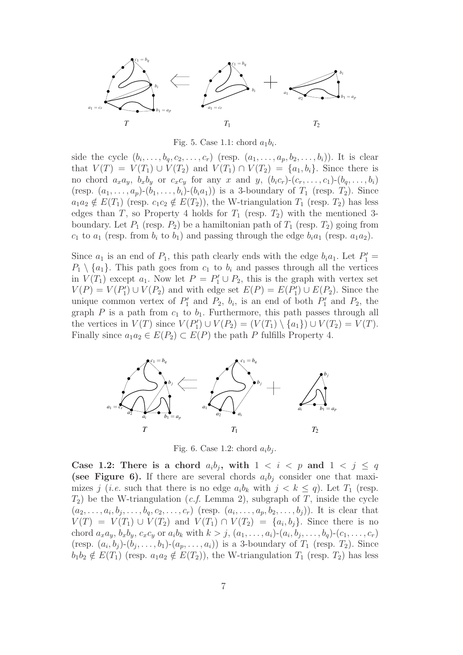

Fig. 5. Case 1.1: chord  $a_1b_i$ .

side the cycle  $(b_i,\ldots,b_q,c_2,\ldots,c_r)$  (resp.  $(a_1,\ldots,a_p,b_2,\ldots,b_i)$ ). It is clear that  $V(T) = V(T_1) \cup V(T_2)$  and  $V(T_1) \cap V(T_2) = \{a_1, b_i\}$ . Since there is no chord  $a_xa_y$ ,  $b_xb_y$  or  $c_xc_y$  for any x and y,  $(b_ic_r)-(c_r,\ldots,c_1)-(b_q,\ldots,b_i)$ (resp.  $(a_1,\ldots,a_p)(b_1,\ldots,b_i)-(b_ia_1)$ ) is a 3-boundary of  $T_1$  (resp.  $T_2$ ). Since  $a_1a_2 \notin E(T_1)$  (resp.  $c_1c_2 \notin E(T_2)$ ), the W-triangulation  $T_1$  (resp.  $T_2$ ) has less edges than T, so Property 4 holds for  $T_1$  (resp.  $T_2$ ) with the mentioned 3boundary. Let  $P_1$  (resp.  $P_2$ ) be a hamiltonian path of  $T_1$  (resp.  $T_2$ ) going from  $c_1$  to  $a_1$  (resp. from  $b_i$  to  $b_1$ ) and passing through the edge  $b_i a_1$  (resp.  $a_1 a_2$ ).

Since  $a_1$  is an end of  $P_1$ , this path clearly ends with the edge  $b_i a_1$ . Let  $P'_1$  =  $P_1 \setminus \{a_1\}$ . This path goes from  $c_1$  to  $b_i$  and passes through all the vertices in  $V(T_1)$  except  $a_1$ . Now let  $P = P'_1 \cup P_2$ , this is the graph with vertex set  $V(P) = V(P'_1) \cup V(P_2)$  and with edge set  $E(P) = E(P'_1) \cup E(P_2)$ . Since the unique common vertex of  $P'_1$  and  $P_2$ ,  $b_i$ , is an end of both  $P'_1$  and  $P_2$ , the graph P is a path from  $c_1$  to  $b_1$ . Furthermore, this path passes through all the vertices in  $V(T)$  since  $V(P'_1) \cup V(P_2) = (V(T_1) \setminus \{a_1\}) \cup V(T_2) = V(T)$ . Finally since  $a_1a_2 \in E(P_2) \subset E(P)$  the path P fulfills Property 4.



Fig. 6. Case 1.2: chord  $a_i b_i$ .

Case 1.2: There is a chord  $a_i b_j$ , with  $1 < i < p$  and  $1 < j \le q$ (see Figure 6). If there are several chords  $a_i b_j$  consider one that maximizes j (*i.e.* such that there is no edge  $a_i b_k$  with  $j < k \le q$ ). Let  $T_1$  (resp.  $T_2$ ) be the W-triangulation (*c.f.* Lemma 2), subgraph of T, inside the cycle  $(a_2,...,a_i, b_j,...,b_q, c_2,...,c_r)$  (resp.  $(a_i,...,a_p, b_2,...,b_j)$ ). It is clear that  $V(T) = V(T_1) \cup V(T_2)$  and  $V(T_1) \cap V(T_2) = \{a_i, b_j\}$ . Since there is no chord  $a_xa_y$ ,  $b_xb_y$ ,  $c_xc_y$  or  $a_ib_k$  with  $k>j$ ,  $(a_1,\ldots,a_i)-(a_i, b_j, \ldots, b_q)-(c_1,\ldots,c_r)$ (resp.  $(a_i, b_j)$ - $(b_j, \ldots, b_1)$ - $(a_p, \ldots, a_i)$ ) is a 3-boundary of  $T_1$  (resp.  $T_2$ ). Since  $b_1b_2 \notin E(T_1)$  (resp.  $a_1a_2 \notin E(T_2)$ ), the W-triangulation  $T_1$  (resp.  $T_2$ ) has less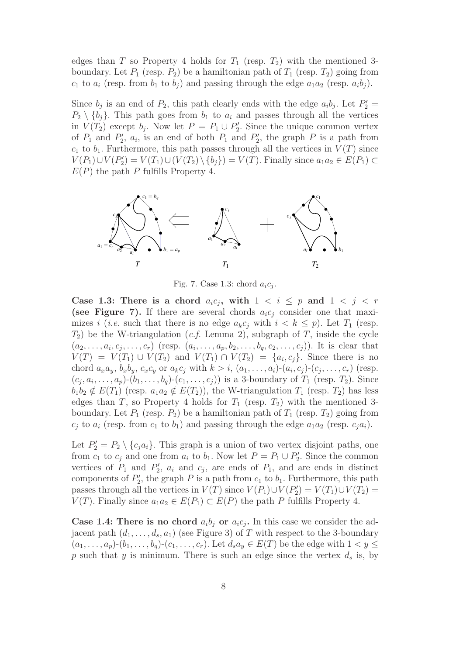edges than T so Property 4 holds for  $T_1$  (resp.  $T_2$ ) with the mentioned 3boundary. Let  $P_1$  (resp.  $P_2$ ) be a hamiltonian path of  $T_1$  (resp.  $T_2$ ) going from  $c_1$  to  $a_i$  (resp. from  $b_1$  to  $b_j$ ) and passing through the edge  $a_1a_2$  (resp.  $a_ib_j$ ).

Since  $b_j$  is an end of  $P_2$ , this path clearly ends with the edge  $a_ib_j$ . Let  $P'_2$  $P_2 \setminus \{b_i\}$ . This path goes from  $b_1$  to  $a_i$  and passes through all the vertices in  $V(T_2)$  except  $b_j$ . Now let  $P = P_1 \cup P'_2$ . Since the unique common vertex of  $P_1$  and  $P'_2$ ,  $a_i$ , is an end of both  $P_1$  and  $P'_2$ , the graph P is a path from  $c_1$  to  $b_1$ . Furthermore, this path passes through all the vertices in  $V(T)$  since  $V(P_1) \cup V(P'_2) = V(T_1) \cup (V(T_2) \setminus \{b_j\}) = V(T)$ . Finally since  $a_1 a_2 \in E(P_1) \subset$  $E(P)$  the path P fulfills Property 4.



Fig. 7. Case 1.3: chord  $a_i c_i$ .

Case 1.3: There is a chord  $a_i c_j$ , with  $1 \leq i \leq p$  and  $1 \leq j \leq r$ (see Figure 7). If there are several chords  $a_i c_j$  consider one that maximizes i (i.e. such that there is no edge  $a_k c_j$  with  $i < k \leq p$ ). Let  $T_1$  (resp.  $T_2$ ) be the W-triangulation (*c.f.* Lemma 2), subgraph of T, inside the cycle  $(a_2,...,a_i,c_j,...,c_r)$  (resp.  $(a_i,...,a_p,b_2,...,b_q,c_2,...,c_j)$ ). It is clear that  $V(T) = V(T_1) \cup V(T_2)$  and  $V(T_1) \cap V(T_2) = \{a_i, c_j\}$ . Since there is no chord  $a_xa_y$ ,  $b_xb_y$ ,  $c_xc_y$  or  $a_kc_j$  with  $k>i$ ,  $(a_1,\ldots,a_i)-(a_i, c_j)-(c_j,\ldots,c_r)$  (resp.  $(c_i, a_i, \ldots, a_p)$ - $(b_1, \ldots, b_q)$ - $(c_1, \ldots, c_j)$  is a 3-boundary of  $T_1$  (resp.  $T_2$ ). Since  $b_1b_2 \notin E(T_1)$  (resp.  $a_1a_2 \notin E(T_2)$ ), the W-triangulation  $T_1$  (resp.  $T_2$ ) has less edges than T, so Property 4 holds for  $T_1$  (resp.  $T_2$ ) with the mentioned 3boundary. Let  $P_1$  (resp.  $P_2$ ) be a hamiltonian path of  $T_1$  (resp.  $T_2$ ) going from  $c_j$  to  $a_i$  (resp. from  $c_1$  to  $b_1$ ) and passing through the edge  $a_1a_2$  (resp.  $c_ja_i$ ).

Let  $P'_2 = P_2 \setminus \{c_j a_i\}$ . This graph is a union of two vertex disjoint paths, one from  $c_1$  to  $c_j$  and one from  $a_i$  to  $b_1$ . Now let  $P = P_1 \cup P'_2$ . Since the common vertices of  $P_1$  and  $P'_2$ ,  $a_i$  and  $c_j$ , are ends of  $P_1$ , and are ends in distinct components of  $P'_2$ , the graph P is a path from  $c_1$  to  $b_1$ . Furthermore, this path passes through all the vertices in  $V(T)$  since  $V(P_1) \cup V(P'_2) = V(T_1) \cup V(T_2) =$  $V(T)$ . Finally since  $a_1a_2 \in E(P_1) \subset E(P)$  the path P fulfills Property 4.

**Case 1.4: There is no chord**  $a_i b_j$  or  $a_i c_j$ . In this case we consider the adjacent path  $(d_1, \ldots, d_s, a_1)$  (see Figure 3) of T with respect to the 3-boundary  $(a_1,\ldots,a_p)-(b_1,\ldots,b_q)-(c_1,\ldots,c_r)$ . Let  $d_s a_y \in E(T)$  be the edge with  $1 < y \leq$ p such that y is minimum. There is such an edge since the vertex  $d_s$  is, by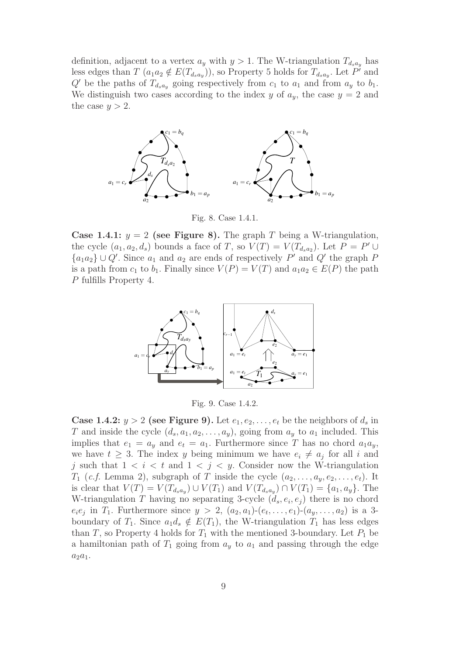definition, adjacent to a vertex  $a_y$  with  $y > 1$ . The W-triangulation  $T_{d_s a_y}$  has less edges than  $T$   $(a_1a_2 \notin E(T_{d_sa_y}))$ , so Property 5 holds for  $T_{d_sa_y}$ . Let P' and  $Q'$  be the paths of  $T_{d_s a_y}$  going respectively from  $c_1$  to  $a_1$  and from  $a_y$  to  $b_1$ . We distinguish two cases according to the index y of  $a_y$ , the case  $y = 2$  and the case  $y > 2$ .



Fig. 8. Case 1.4.1.

Case 1.4.1:  $y = 2$  (see Figure 8). The graph T being a W-triangulation, the cycle  $(a_1, a_2, d_s)$  bounds a face of T, so  $V(T) = V(T_{d_s a_2})$ . Let  $P = P' \cup$  $\{a_1a_2\} \cup Q'$ . Since  $a_1$  and  $a_2$  are ends of respectively P' and Q' the graph P is a path from  $c_1$  to  $b_1$ . Finally since  $V(P) = V(T)$  and  $a_1 a_2 \in E(P)$  the path P fulfills Property 4.



Fig. 9. Case 1.4.2.

**Case 1.4.2:**  $y > 2$  (see Figure 9). Let  $e_1, e_2, \ldots, e_t$  be the neighbors of  $d_s$  in T and inside the cycle  $(d_s, a_1, a_2, \ldots, a_y)$ , going from  $a_y$  to  $a_1$  included. This implies that  $e_1 = a_y$  and  $e_t = a_1$ . Furthermore since T has no chord  $a_1a_y$ , we have  $t \geq 3$ . The index y being minimum we have  $e_i \neq a_j$  for all i and j such that  $1 \leq i \leq t$  and  $1 \leq j \leq y$ . Consider now the W-triangulation  $T_1$  (*c.f.* Lemma 2), subgraph of T inside the cycle  $(a_2, \ldots, a_y, e_2, \ldots, e_t)$ . It is clear that  $V(T) = V(T_{d_s a_y}) \cup V(T_1)$  and  $V(T_{d_s a_y}) \cap V(T_1) = \{a_1, a_y\}$ . The W-triangulation T having no separating 3-cycle  $(d_s, e_i, e_j)$  there is no chord  $e_i e_j$  in  $T_1$ . Furthermore since  $y > 2$ ,  $(a_2, a_1)$ - $(e_t, \ldots, e_1)$ - $(a_y, \ldots, a_2)$  is a 3boundary of  $T_1$ . Since  $a_1d_s \notin E(T_1)$ , the W-triangulation  $T_1$  has less edges than T, so Property 4 holds for  $T_1$  with the mentioned 3-boundary. Let  $P_1$  be a hamiltonian path of  $T_1$  going from  $a_y$  to  $a_1$  and passing through the edge  $a_2a_1.$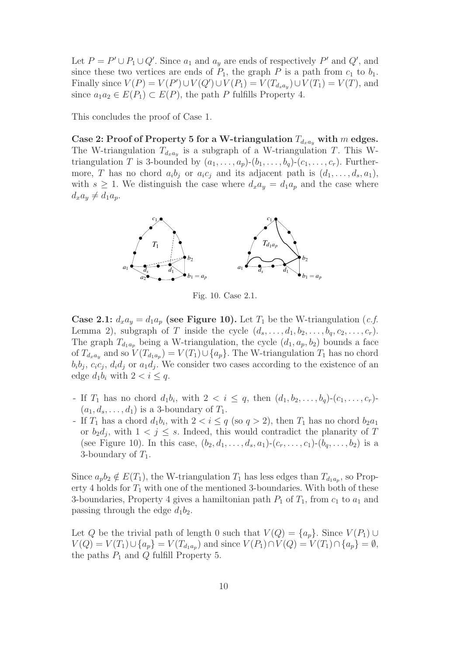Let  $P = P' \cup P_1 \cup Q'$ . Since  $a_1$  and  $a_y$  are ends of respectively  $P'$  and  $Q'$ , and since these two vertices are ends of  $P_1$ , the graph P is a path from  $c_1$  to  $b_1$ . Finally since  $V(P) = V(P') \cup V(Q') \cup V(P_1) = V(T_{d_s a_y}) \cup V(T_1) = V(T)$ , and since  $a_1a_2 \in E(P_1) \subset E(P)$ , the path P fulfills Property 4.

This concludes the proof of Case 1.

Case 2: Proof of Property 5 for a W-triangulation  $T_{d_{rad}}$  with m edges. The W-triangulation  $T_{d_x a_y}$  is a subgraph of a W-triangulation T. This Wtriangulation T is 3-bounded by  $(a_1,\ldots,a_p)(b_1,\ldots,b_q)(c_1,\ldots,c_r)$ . Furthermore, T has no chord  $a_i b_j$  or  $a_i c_j$  and its adjacent path is  $(d_1, \ldots, d_s, a_1)$ , with  $s \geq 1$ . We distinguish the case where  $d_x a_y = d_1 a_y$  and the case where  $d_xa_y \neq d_1a_p.$ 



Fig. 10. Case 2.1.

**Case 2.1:**  $d_x a_y = d_1 a_y$  (see Figure 10). Let  $T_1$  be the W-triangulation (*c.f.* Lemma 2), subgraph of T inside the cycle  $(d_s, \ldots, d_1, b_2, \ldots, b_q, c_2, \ldots, c_r)$ . The graph  $T_{d_1a_p}$  being a W-triangulation, the cycle  $(d_1, a_p, b_2)$  bounds a face of  $T_{d_xa_y}$  and so  $V(T_{d_1a_y})=V(T_1)\cup\{a_p\}$ . The W-triangulation  $T_1$  has no chord  $b_i b_j$ ,  $c_i c_j$ ,  $d_i d_j$  or  $a_1 d_j$ . We consider two cases according to the existence of an edge  $d_1b_i$  with  $2 < i \leq q$ .

- If  $T_1$  has no chord  $d_1b_i$ , with  $2 < i \leq q$ , then  $(d_1, b_2, \ldots, b_q)$ - $(c_1, \ldots, c_r)$ - $(a_1, d_s, \ldots, d_1)$  is a 3-boundary of  $T_1$ .
- If  $T_1$  has a chord  $d_1b_i$ , with  $2 < i \leq q$  (so  $q > 2$ ), then  $T_1$  has no chord  $b_2a_1$ or  $b_2d_j$ , with  $1 < j \leq s$ . Indeed, this would contradict the planarity of T (see Figure 10). In this case,  $(b_2, d_1, \ldots, d_s, a_1)$ - $(c_r, \ldots, c_1)$ - $(b_q, \ldots, b_2)$  is a 3-boundary of  $T_1$ .

Since  $a_p b_2 \notin E(T_1)$ , the W-triangulation  $T_1$  has less edges than  $T_{d_1a_p}$ , so Property 4 holds for  $T_1$  with one of the mentioned 3-boundaries. With both of these 3-boundaries, Property 4 gives a hamiltonian path  $P_1$  of  $T_1$ , from  $c_1$  to  $a_1$  and passing through the edge  $d_1b_2$ .

Let Q be the trivial path of length 0 such that  $V(Q) = \{a_p\}$ . Since  $V(P_1) \cup$  $V(Q) = V(T_1) \cup \{a_p\} = V(T_{d_1a_p})$  and since  $V(P_1) \cap V(Q) = V(T_1) \cap \{a_p\} = \emptyset$ , the paths  $P_1$  and  $Q$  fulfill Property 5.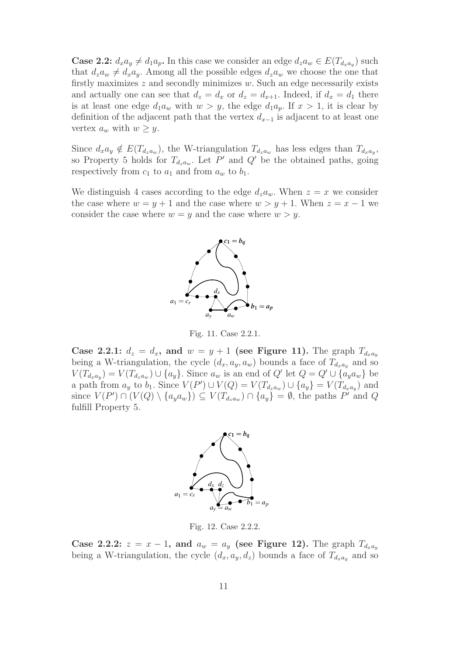**Case 2.2:**  $d_x a_y \neq d_1 a_p$ . In this case we consider an edge  $d_z a_w \in E(T_{d_x a_y})$  such that  $d_za_w \neq d_xa_y$ . Among all the possible edges  $d_za_w$  we choose the one that firstly maximizes  $z$  and secondly minimizes  $w$ . Such an edge necessarily exists and actually one can see that  $d_z = d_x$  or  $d_z = d_{x+1}$ . Indeed, if  $d_x = d_1$  there is at least one edge  $d_1a_w$  with  $w>y$ , the edge  $d_1a_p$ . If  $x > 1$ , it is clear by definition of the adjacent path that the vertex  $d_{x-1}$  is adjacent to at least one vertex  $a_w$  with  $w \geq y$ .

Since  $d_x a_y \notin E(T_{d_x a_w})$ , the W-triangulation  $T_{d_x a_w}$  has less edges than  $T_{d_x a_v}$ , so Property 5 holds for  $T_{d_za_w}$ . Let P' and Q' be the obtained paths, going respectively from  $c_1$  to  $a_1$  and from  $a_w$  to  $b_1$ .

We distinguish 4 cases according to the edge  $d_za_w$ . When  $z = x$  we consider the case where  $w = y + 1$  and the case where  $w > y + 1$ . When  $z = x - 1$  we consider the case where  $w = y$  and the case where  $w > y$ .



Fig. 11. Case 2.2.1.

Case 2.2.1:  $d_z = d_x$ , and  $w = y + 1$  (see Figure 11). The graph  $T_{d_x a_y}$ being a W-triangulation, the cycle  $(d_x, a_y, a_w)$  bounds a face of  $T_{d_x a_y}$  and so  $V(T_{d_xa_y})=V(T_{d_za_w})\cup \{a_y\}.$  Since  $a_w$  is an end of Q' let  $Q=Q'\cup \{a_ya_w\}$  be a path from  $a_y$  to  $b_1$ . Since  $V(P') \cup V(Q) = V(T_{d_z a_w}) \cup \{a_y\} = V(T_{d_x a_y})$  and since  $V(P') \cap (V(Q) \setminus \{a_y a_w\}) \subseteq V(T_{d_z a_w}) \cap \{a_y\} = \emptyset$ , the paths P' and Q fulfill Property 5.



Fig. 12. Case 2.2.2.

Case 2.2.2:  $z = x - 1$ , and  $a_w = a_y$  (see Figure 12). The graph  $T_{d_x a_y}$ being a W-triangulation, the cycle  $(d_x, a_y, d_z)$  bounds a face of  $T_{d_x a_y}$  and so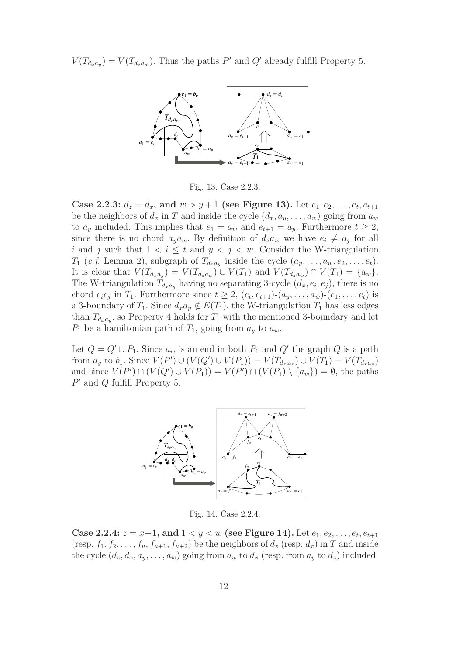$V(T_{d_x a_y}) = V(T_{d_z a_y})$ . Thus the paths P' and Q' already fulfill Property 5.



Fig. 13. Case 2.2.3.

Case 2.2.3:  $d_z = d_x$ , and  $w > y + 1$  (see Figure 13). Let  $e_1, e_2, \ldots, e_t, e_{t+1}$ be the neighbors of  $d_x$  in T and inside the cycle  $(d_x, a_y, \ldots, a_w)$  going from  $a_w$ to  $a_y$  included. This implies that  $e_1 = a_w$  and  $e_{t+1} = a_y$ . Furthermore  $t \geq 2$ , since there is no chord  $a_y a_w$ . By definition of  $d_z a_w$  we have  $e_i \neq a_j$  for all i and j such that  $1 < i \leq t$  and  $y < j < w$ . Consider the W-triangulation  $T_1$  (*c.f.* Lemma 2), subgraph of  $T_{d_x a_y}$  inside the cycle  $(a_y, \ldots, a_w, e_2, \ldots, e_t)$ . It is clear that  $V(T_{d_xa_y})=V(T_{d_za_w})\cup V(T_1)$  and  $V(T_{d_za_w})\cap V(T_1)=\{a_w\}.$ The W-triangulation  $T_{d_xa_y}$  having no separating 3-cycle  $(d_x, e_i, e_j)$ , there is no chord  $e_i e_j$  in  $T_1$ . Furthermore since  $t \geq 2$ ,  $(e_t, e_{t+1})$ - $(a_u, \ldots, a_w)$ - $(e_1, \ldots, e_t)$  is a 3-boundary of  $T_1$ . Since  $d_x a_y \notin E(T_1)$ , the W-triangulation  $T_1$  has less edges than  $T_{d_xa_y}$ , so Property 4 holds for  $T_1$  with the mentioned 3-boundary and let  $P_1$  be a hamiltonian path of  $T_1$ , going from  $a_y$  to  $a_w$ .

Let  $Q = Q' \cup P_1$ . Since  $a_w$  is an end in both  $P_1$  and  $Q'$  the graph Q is a path from  $a_y$  to  $b_1$ . Since  $V(P') \cup (V(Q') \cup V(P_1)) = V(T_{d_z a_w}) \cup V(T_1) = V(T_{d_x a_y})$ and since  $V(P') \cap (V(Q') \cup V(P_1)) = V(P') \cap (V(P_1) \setminus \{a_w\}) = \emptyset$ , the paths  $P'$  and  $Q$  fulfill Property 5.



Fig. 14. Case 2.2.4.

Case 2.2.4:  $z = x-1$ , and  $1 < y < w$  (see Figure 14). Let  $e_1, e_2, \ldots, e_t, e_{t+1}$ (resp.  $f_1, f_2, \ldots, f_u, f_{u+1}, f_{u+2}$ ) be the neighbors of  $d_z$  (resp.  $d_x$ ) in T and inside the cycle  $(d_z, d_x, a_y, \ldots, a_w)$  going from  $a_w$  to  $d_x$  (resp. from  $a_y$  to  $d_z$ ) included.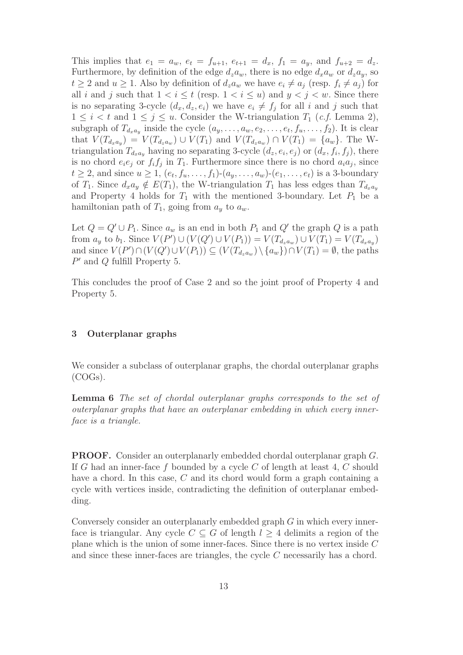This implies that  $e_1 = a_w$ ,  $e_t = f_{u+1}$ ,  $e_{t+1} = d_x$ ,  $f_1 = a_y$ , and  $f_{u+2} = d_z$ . Furthermore, by definition of the edge  $d_za_w$ , there is no edge  $d_xa_w$  or  $d_za_y$ , so  $t \geq 2$  and  $u \geq 1$ . Also by definition of  $d_z a_w$  we have  $e_i \neq a_j$  (resp.  $f_i \neq a_j$ ) for all i and j such that  $1 < i \leq t$  (resp.  $1 < i \leq u$ ) and  $y < j < w$ . Since there is no separating 3-cycle  $(d_x, d_z, e_i)$  we have  $e_i \neq f_j$  for all i and j such that  $1 \leq i < t$  and  $1 \leq j \leq u$ . Consider the W-triangulation  $T_1$  (*c.f.* Lemma 2), subgraph of  $T_{d_xa_y}$  inside the cycle  $(a_y,\ldots,a_w,e_2,\ldots,e_t,f_u,\ldots,f_2)$ . It is clear that  $V(T_{d_x a_y}) = V(T_{d_z a_y}) \cup V(T_1)$  and  $V(T_{d_z a_y}) \cap V(T_1) = \{a_w\}$ . The Wtriangulation  $T_{d_xa_y}$  having no separating 3-cycle  $(d_z, e_i, e_j)$  or  $(d_x, f_i, f_j)$ , there is no chord  $e_i e_j$  or  $f_i f_j$  in  $T_1$ . Furthermore since there is no chord  $a_i a_j$ , since  $t \ge 2$ , and since  $u \ge 1$ ,  $(e_t, f_u, \ldots, f_1)$ - $(a_y, \ldots, a_w)$ - $(e_1, \ldots, e_t)$  is a 3-boundary of  $T_1$ . Since  $d_x a_y \notin E(T_1)$ , the W-triangulation  $T_1$  has less edges than  $T_{d_x a_y}$ and Property 4 holds for  $T_1$  with the mentioned 3-boundary. Let  $P_1$  be a hamiltonian path of  $T_1$ , going from  $a_y$  to  $a_w$ .

Let  $Q = Q' \cup P_1$ . Since  $a_w$  is an end in both  $P_1$  and  $Q'$  the graph  $Q$  is a path from  $a_y$  to  $b_1$ . Since  $V(P') \cup (V(Q') \cup V(P_1)) = V(T_{d_z a_w}) \cup V(T_1) = V(T_{d_x a_y})$ and since  $V(P') \cap (V(Q') \cup V(P_1)) \subseteq (V(T_{d_za_w}) \setminus \{a_w\}) \cap V(T_1) = \emptyset$ , the paths P′ and Q fulfill Property 5.

This concludes the proof of Case 2 and so the joint proof of Property 4 and Property 5.

### 3 Outerplanar graphs

We consider a subclass of outerplanar graphs, the chordal outerplanar graphs (COGs).

Lemma 6 The set of chordal outerplanar graphs corresponds to the set of outerplanar graphs that have an outerplanar embedding in which every innerface is a triangle.

PROOF. Consider an outerplanarly embedded chordal outerplanar graph G. If G had an inner-face f bounded by a cycle C of length at least 4, C should have a chord. In this case, C and its chord would form a graph containing a cycle with vertices inside, contradicting the definition of outerplanar embedding.

Conversely consider an outerplanarly embedded graph G in which every innerface is triangular. Any cycle  $C \subseteq G$  of length  $l \geq 4$  delimits a region of the plane which is the union of some inner-faces. Since there is no vertex inside C and since these inner-faces are triangles, the cycle C necessarily has a chord.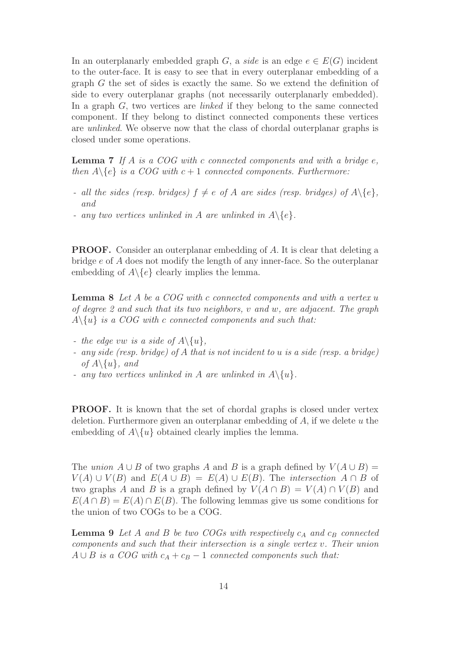In an outerplanarly embedded graph G, a side is an edge  $e \in E(G)$  incident to the outer-face. It is easy to see that in every outerplanar embedding of a graph G the set of sides is exactly the same. So we extend the definition of side to every outerplanar graphs (not necessarily outerplanarly embedded). In a graph  $G$ , two vertices are *linked* if they belong to the same connected component. If they belong to distinct connected components these vertices are unlinked. We observe now that the class of chordal outerplanar graphs is closed under some operations.

**Lemma 7** If A is a COG with c connected components and with a bridge  $e$ , then  $A \setminus \{e\}$  is a COG with  $c + 1$  connected components. Furthermore:

- all the sides (resp. bridges)  $f \neq e$  of A are sides (resp. bridges) of  $A \setminus \{e\}$ , and
- any two vertices unlinked in A are unlinked in  $A \setminus \{e\}.$

PROOF. Consider an outerplanar embedding of A. It is clear that deleting a bridge e of A does not modify the length of any inner-face. So the outerplanar embedding of  $A \setminus \{e\}$  clearly implies the lemma.

Lemma 8 Let A be a COG with c connected components and with a vertex u of degree 2 and such that its two neighbors, v and w, are adjacent. The graph  $A \setminus \{u\}$  is a COG with c connected components and such that:

- the edge vw is a side of  $A \setminus \{u\},\$
- any side (resp. bridge) of A that is not incident to u is a side (resp. a bridge) of  $A \setminus \{u\}$ , and
- any two vertices unlinked in A are unlinked in  $A \setminus \{u\}.$

PROOF. It is known that the set of chordal graphs is closed under vertex deletion. Furthermore given an outerplanar embedding of  $A$ , if we delete  $u$  the embedding of  $A \setminus \{u\}$  obtained clearly implies the lemma.

The union  $A \cup B$  of two graphs A and B is a graph defined by  $V(A \cup B) =$  $V(A) \cup V(B)$  and  $E(A \cup B) = E(A) \cup E(B)$ . The *intersection*  $A \cap B$  of two graphs A and B is a graph defined by  $V(A \cap B) = V(A) \cap V(B)$  and  $E(A \cap B) = E(A) \cap E(B)$ . The following lemmas give us some conditions for the union of two COGs to be a COG.

**Lemma 9** Let A and B be two COGs with respectively  $c_A$  and  $c_B$  connected components and such that their intersection is a single vertex v. Their union  $A \cup B$  is a COG with  $c_A + c_B - 1$  connected components such that: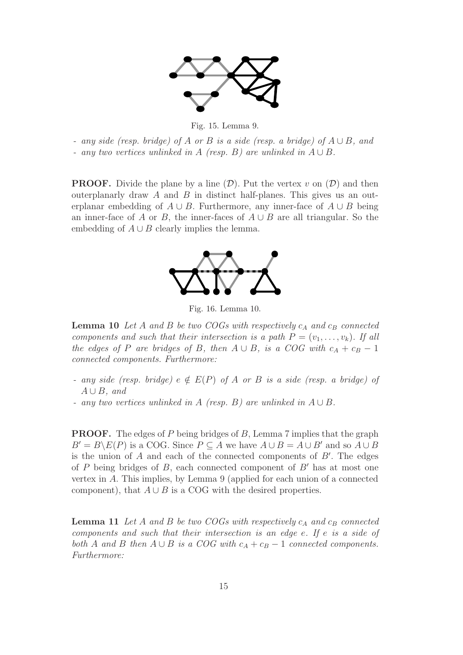

Fig. 15. Lemma 9.

- any side (resp. bridge) of A or B is a side (resp. a bridge) of  $A \cup B$ , and
- any two vertices unlinked in A (resp. B) are unlinked in  $A \cup B$ .

**PROOF.** Divide the plane by a line  $(\mathcal{D})$ . Put the vertex v on  $(\mathcal{D})$  and then outerplanarly draw  $A$  and  $B$  in distinct half-planes. This gives us an outerplanar embedding of  $A \cup B$ . Furthermore, any inner-face of  $A \cup B$  being an inner-face of A or B, the inner-faces of  $A \cup B$  are all triangular. So the embedding of  $A \cup B$  clearly implies the lemma.



Fig. 16. Lemma 10.

**Lemma 10** Let A and B be two COGs with respectively  $c_A$  and  $c_B$  connected components and such that their intersection is a path  $P = (v_1, \ldots, v_k)$ . If all the edges of P are bridges of B, then  $A \cup B$ , is a COG with  $c_A + c_B - 1$ connected components. Furthermore:

- any side (resp. bridge)  $e \notin E(P)$  of A or B is a side (resp. a bridge) of  $A \cup B$ , and
- any two vertices unlinked in A (resp. B) are unlinked in  $A \cup B$ .

**PROOF.** The edges of P being bridges of B, Lemma 7 implies that the graph  $B' = B \backslash E(P)$  is a COG. Since  $P \subseteq A$  we have  $A \cup B = A \cup B'$  and so  $A \cup B$ is the union of  $A$  and each of the connected components of  $B'$ . The edges of P being bridges of B, each connected component of  $B'$  has at most one vertex in A. This implies, by Lemma 9 (applied for each union of a connected component), that  $A \cup B$  is a COG with the desired properties.

**Lemma 11** Let A and B be two COGs with respectively  $c_A$  and  $c_B$  connected components and such that their intersection is an edge e. If e is a side of both A and B then  $A \cup B$  is a COG with  $c_A + c_B - 1$  connected components. Furthermore: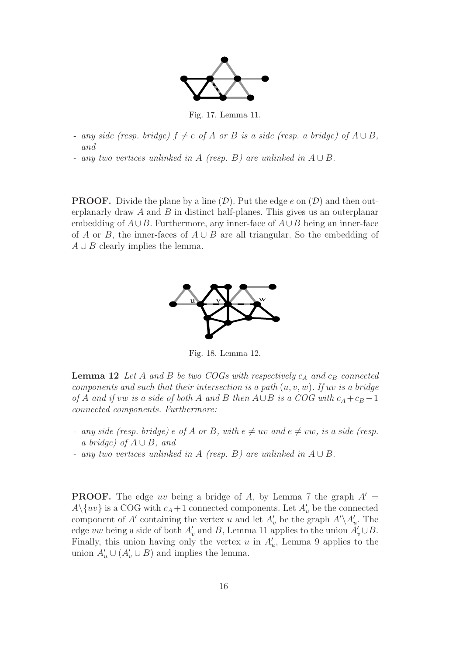

Fig. 17. Lemma 11.

- any side (resp. bridge)  $f \neq e$  of A or B is a side (resp. a bridge) of  $A \cup B$ , and
- any two vertices unlinked in A (resp. B) are unlinked in  $A \cup B$ .

**PROOF.** Divide the plane by a line  $(D)$ . Put the edge e on  $(D)$  and then outerplanarly draw A and B in distinct half-planes. This gives us an outerplanar embedding of  $A\cup B$ . Furthermore, any inner-face of  $A\cup B$  being an inner-face of A or B, the inner-faces of  $A \cup B$  are all triangular. So the embedding of  $A \cup B$  clearly implies the lemma.



Fig. 18. Lemma 12.

**Lemma 12** Let A and B be two COGs with respectively  $c_A$  and  $c_B$  connected components and such that their intersection is a path  $(u, v, w)$ . If uv is a bridge of A and if vw is a side of both A and B then  $A \cup B$  is a COG with  $c_A + c_B - 1$ connected components. Furthermore:

- any side (resp. bridge) e of A or B, with  $e \neq uv$  and  $e \neq vw$ , is a side (resp. a bridge) of  $A \cup B$ , and
- any two vertices unlinked in A (resp. B) are unlinked in  $A \cup B$ .

**PROOF.** The edge uv being a bridge of A, by Lemma 7 the graph  $A' =$  $A \setminus \{uv\}$  is a COG with  $c_A + 1$  connected components. Let  $A'_u$  be the connected component of A' containing the vertex u and let  $A'_{v}$  be the graph  $A' \setminus A'_{u}$ . The edge vw being a side of both  $A'_{v}$  and B, Lemma 11 applies to the union  $A'_{v} \cup B$ . Finally, this union having only the vertex  $u$  in  $A'_u$ , Lemma 9 applies to the union  $A'_u \cup (A'_v \cup B)$  and implies the lemma.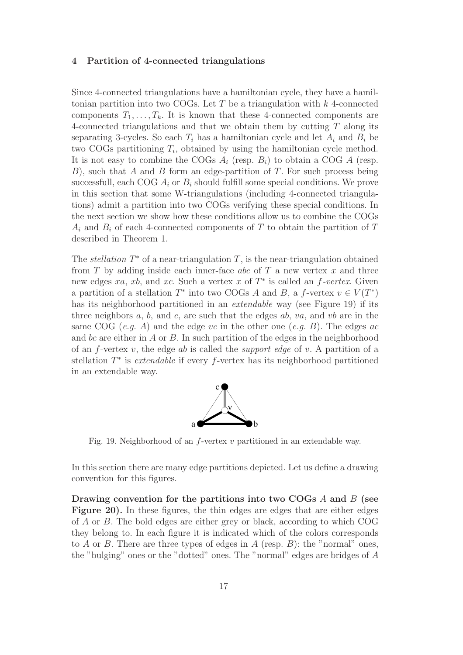#### 4 Partition of 4-connected triangulations

Since 4-connected triangulations have a hamiltonian cycle, they have a hamiltonian partition into two COGs. Let T be a triangulation with  $k$  4-connected components  $T_1, \ldots, T_k$ . It is known that these 4-connected components are 4-connected triangulations and that we obtain them by cutting T along its separating 3-cycles. So each  $T_i$  has a hamiltonian cycle and let  $A_i$  and  $B_i$  be two COGs partitioning  $T_i$ , obtained by using the hamiltonian cycle method. It is not easy to combine the COGs  $A_i$  (resp.  $B_i$ ) to obtain a COG A (resp. B), such that A and B form an edge-partition of T. For such process being successfull, each COG  $A_i$  or  $B_i$  should fulfill some special conditions. We prove in this section that some W-triangulations (including 4-connected triangulations) admit a partition into two COGs verifying these special conditions. In the next section we show how these conditions allow us to combine the COGs  $A_i$  and  $B_i$  of each 4-connected components of T to obtain the partition of T described in Theorem 1.

The *stellation*  $T^*$  of a near-triangulation  $T$ , is the near-triangulation obtained from  $T$  by adding inside each inner-face abc of  $T$  a new vertex  $x$  and three new edges xa, xb, and xc. Such a vertex x of  $T^*$  is called an f-vertex. Given a partition of a stellation  $T^*$  into two COGs A and B, a f-vertex  $v \in V(T^*)$ has its neighborhood partitioned in an *extendable* way (see Figure 19) if its three neighbors  $a, b$ , and  $c$ , are such that the edges  $ab, va$ , and  $vb$  are in the same COG (e.g. A) and the edge vc in the other one (e.g. B). The edges ac and bc are either in A or B. In such partition of the edges in the neighborhood of an f-vertex v, the edge ab is called the *support edge* of v. A partition of a stellation T<sup>\*</sup> is *extendable* if every f-vertex has its neighborhood partitioned in an extendable way.



Fig. 19. Neighborhood of an  $f$ -vertex  $v$  partitioned in an extendable way.

In this section there are many edge partitions depicted. Let us define a drawing convention for this figures.

Drawing convention for the partitions into two COGs  $\hat{A}$  and  $\hat{B}$  (see Figure 20). In these figures, the thin edges are edges that are either edges of A or B. The bold edges are either grey or black, according to which COG they belong to. In each figure it is indicated which of the colors corresponds to A or B. There are three types of edges in A (resp. B): the "normal" ones, the "bulging" ones or the "dotted" ones. The "normal" edges are bridges of A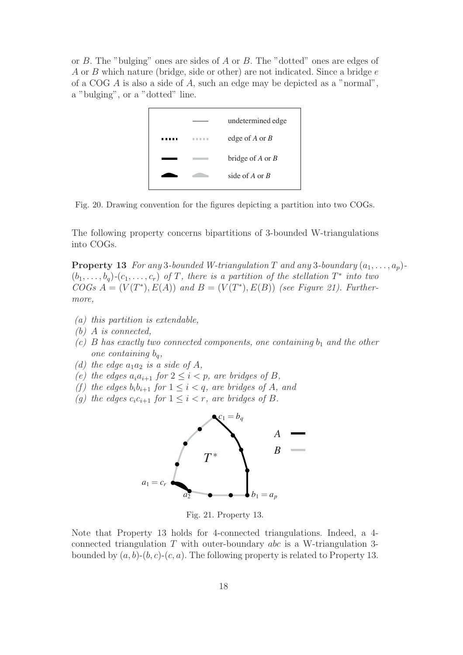or B. The "bulging" ones are sides of A or B. The "dotted" ones are edges of A or B which nature (bridge, side or other) are not indicated. Since a bridge e of a COG A is also a side of A, such an edge may be depicted as a "normal", a "bulging", or a "dotted" line.



Fig. 20. Drawing convention for the figures depicting a partition into two COGs.

The following property concerns bipartitions of 3-bounded W-triangulations into COGs.

**Property 13** For any 3-bounded W-triangulation T and any 3-boundary  $(a_1, \ldots, a_p)$ - $(b_1,\ldots,b_q)$ - $(c_1,\ldots,c_r)$  of T, there is a partition of the stellation  $T^*$  into two  $COGs A = (V(T^*), E(A))$  and  $B = (V(T^*), E(B))$  (see Figure 21). Furthermore,

- (a) this partition is extendable,
- (b) A is connected,
- (c) B has exactly two connected components, one containing  $b_1$  and the other one containing  $b_q$ ,
- (d) the edge  $a_1a_2$  is a side of A,
- (e) the edges  $a_i a_{i+1}$  for  $2 \leq i < p$ , are bridges of B,
- (f) the edges  $b_i b_{i+1}$  for  $1 \leq i < q$ , are bridges of A, and
- (g) the edges  $c_i c_{i+1}$  for  $1 \leq i < r$ , are bridges of B.



Fig. 21. Property 13.

Note that Property 13 holds for 4-connected triangulations. Indeed, a 4 connected triangulation T with outer-boundary abc is a W-triangulation 3 bounded by  $(a, b)-(b, c)-(c, a)$ . The following property is related to Property 13.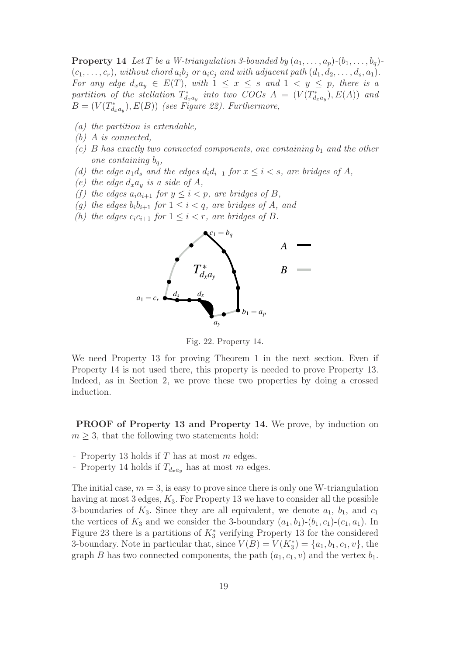**Property 14** Let T be a W-triangulation 3-bounded by  $(a_1, \ldots, a_p)$ - $(b_1, \ldots, b_q)$ - $(c_1,\ldots,c_r)$ , without chord  $a_ib_j$  or  $a_ic_j$  and with adjacent path  $(d_1, d_2,\ldots, d_s, a_1)$ . For any edge  $d_x a_y \in E(T)$ , with  $1 \leq x \leq s$  and  $1 \leq y \leq p$ , there is a partition of the stellation  $T^*_{d_xa_y}$  into two COGs  $A = (V(T^*_{d_xa_y}), E(A))$  and  $B=(V(T^*_{d_xa_y}),E(B))$  (see Figure 22). Furthermore,

- (a) the partition is extendable,
- (b) A is connected,
- (c) B has exactly two connected components, one containing  $b_1$  and the other one containing  $b_q$ ,
- (d) the edge  $a_1d_s$  and the edges  $d_i d_{i+1}$  for  $x \leq i < s$ , are bridges of A,
- (e) the edge  $d_x a_y$  is a side of A,
- (f) the edges  $a_i a_{i+1}$  for  $y \leq i < p$ , are bridges of B,
- (g) the edges  $b_i b_{i+1}$  for  $1 \leq i < q$ , are bridges of A, and
- (h) the edges  $c_i c_{i+1}$  for  $1 \leq i < r$ , are bridges of B.



Fig. 22. Property 14.

We need Property 13 for proving Theorem 1 in the next section. Even if Property 14 is not used there, this property is needed to prove Property 13. Indeed, as in Section 2, we prove these two properties by doing a crossed induction.

PROOF of Property 13 and Property 14. We prove, by induction on  $m \geq 3$ , that the following two statements hold:

- Property 13 holds if T has at most m edges.
- Property 14 holds if  $T_{d_x a_y}$  has at most m edges.

The initial case,  $m = 3$ , is easy to prove since there is only one W-triangulation having at most 3 edges,  $K_3$ . For Property 13 we have to consider all the possible 3-boundaries of  $K_3$ . Since they are all equivalent, we denote  $a_1$ ,  $b_1$ , and  $c_1$ the vertices of  $K_3$  and we consider the 3-boundary  $(a_1, b_1)-(b_1, c_1)-(c_1, a_1)$ . In Figure 23 there is a partitions of  $K_3^*$  verifying Property 13 for the considered 3-boundary. Note in particular that, since  $V(B) = V(K_3^*) = \{a_1, b_1, c_1, v\}$ , the graph B has two connected components, the path  $(a_1, c_1, v)$  and the vertex  $b_1$ .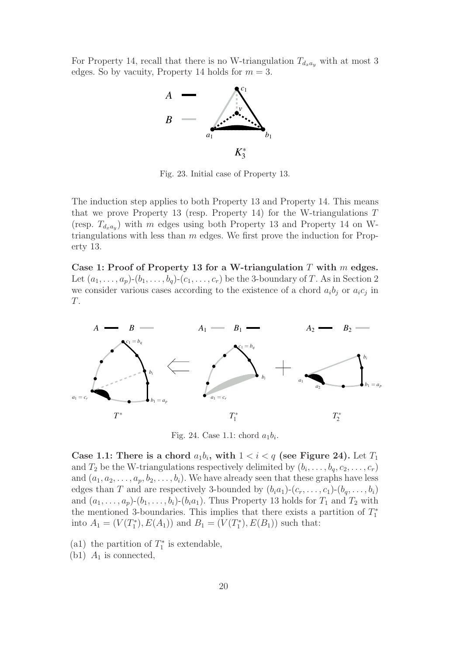For Property 14, recall that there is no W-triangulation  $T_{d_x a_y}$  with at most 3 edges. So by vacuity, Property 14 holds for  $m = 3$ .



Fig. 23. Initial case of Property 13.

The induction step applies to both Property 13 and Property 14. This means that we prove Property 13 (resp. Property 14) for the W-triangulations  $T$ (resp.  $T_{d_xa_y}$ ) with m edges using both Property 13 and Property 14 on Wtriangulations with less than  $m$  edges. We first prove the induction for Property 13.

Case 1: Proof of Property 13 for a W-triangulation  $T$  with  $m$  edges. Let  $(a_1,\ldots,a_p)-(b_1,\ldots,b_q)-(c_1,\ldots,c_r)$  be the 3-boundary of T. As in Section 2 we consider various cases according to the existence of a chord  $a_i b_j$  or  $a_i c_j$  in T.



Fig. 24. Case 1.1: chord  $a_1b_i$ .

Case 1.1: There is a chord  $a_1b_i$ , with  $1 < i < q$  (see Figure 24). Let  $T_1$ and  $T_2$  be the W-triangulations respectively delimited by  $(b_i, \ldots, b_q, c_2, \ldots, c_r)$ and  $(a_1, a_2, \ldots, a_p, b_2, \ldots, b_i)$ . We have already seen that these graphs have less edges than T and are respectively 3-bounded by  $(b_i a_1)-(c_r,\ldots,c_1)-(b_q,\ldots,b_i)$ and  $(a_1,\ldots,a_p)-(b_1,\ldots,b_i)-(b_ia_1)$ . Thus Property 13 holds for  $T_1$  and  $T_2$  with the mentioned 3-boundaries. This implies that there exists a partition of  $T_1^*$ into  $A_1 = (V(T_1^*), E(A_1))$  and  $B_1 = (V(T_1^*), E(B_1))$  such that:

(a1) the partition of  $T_1^*$  is extendable,

(b1)  $A_1$  is connected,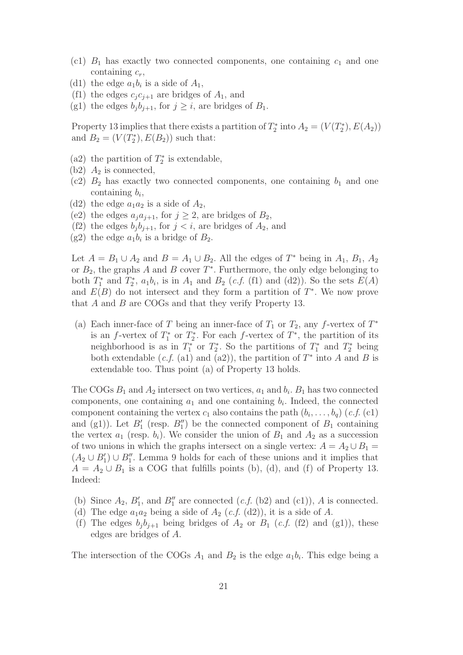- (c1)  $B_1$  has exactly two connected components, one containing  $c_1$  and one containing  $c_r$ ,
- (d1) the edge  $a_1b_i$  is a side of  $A_1$ ,
- (f1) the edges  $c_j c_{j+1}$  are bridges of  $A_1$ , and
- (g1) the edges  $b_j b_{j+1}$ , for  $j \geq i$ , are bridges of  $B_1$ .

Property 13 implies that there exists a partition of  $T_2^*$  into  $A_2 = (V(T_2^*), E(A_2))$ and  $B_2 = (V(T_2^*), E(B_2))$  such that:

- (a2) the partition of  $T_2^*$  is extendable,
- $(b2)$   $A_2$  is connected,
- (c2)  $B_2$  has exactly two connected components, one containing  $b_1$  and one containing  $b_i$ ,
- (d2) the edge  $a_1a_2$  is a side of  $A_2$ ,
- (e2) the edges  $a_j a_{j+1}$ , for  $j \geq 2$ , are bridges of  $B_2$ ,
- (f2) the edges  $b_j b_{j+1}$ , for  $j < i$ , are bridges of  $A_2$ , and
- (g2) the edge  $a_1b_i$  is a bridge of  $B_2$ .

Let  $A = B_1 \cup A_2$  and  $B = A_1 \cup B_2$ . All the edges of  $T^*$  being in  $A_1, B_1, A_2$ or  $B_2$ , the graphs A and B cover  $T^*$ . Furthermore, the only edge belonging to both  $T_1^*$  and  $T_2^*$ ,  $a_1b_i$ , is in  $A_1$  and  $B_2$  (*c.f.* (f1) and (d2)). So the sets  $E(A)$ and  $E(B)$  do not intersect and they form a partition of  $T^*$ . We now prove that A and B are COGs and that they verify Property 13.

(a) Each inner-face of T being an inner-face of  $T_1$  or  $T_2$ , any f-vertex of  $T^*$ is an f-vertex of  $T_1^*$  or  $T_2^*$ . For each f-vertex of  $T^*$ , the partition of its neighborhood is as in  $T_1^*$  or  $T_2^*$ . So the partitions of  $T_1^*$  and  $T_2^*$  being both extendable  $(c.f. (a1)$  and  $(a2)$ , the partition of  $T^*$  into A and B is extendable too. Thus point (a) of Property 13 holds.

The COGs  $B_1$  and  $A_2$  intersect on two vertices,  $a_1$  and  $b_i$ .  $B_1$  has two connected components, one containing  $a_1$  and one containing  $b_i$ . Indeed, the connected component containing the vertex  $c_1$  also contains the path  $(b_i,\ldots,b_q)$  (c.f. (c1) and (g1)). Let  $B'_1$  (resp.  $B''_1$ ) be the connected component of  $B_1$  containing the vertex  $a_1$  (resp.  $b_i$ ). We consider the union of  $B_1$  and  $A_2$  as a succession of two unions in which the graphs intersect on a single vertex:  $A = A_2 \cup B_1 =$  $(A_2 \cup B'_1) \cup B''_1$ . Lemma 9 holds for each of these unions and it implies that  $A = A_2 \cup B_1$  is a COG that fulfills points (b), (d), and (f) of Property 13. Indeed:

- (b) Since  $A_2$ ,  $B'_1$ , and  $B''_1$  are connected  $(c.f.$  (b2) and (c1)), A is connected.
- (d) The edge  $a_1a_2$  being a side of  $A_2$  (c.f. (d2)), it is a side of A.
- (f) The edges  $b_j b_{j+1}$  being bridges of  $A_2$  or  $B_1$  (*c.f.* (f2) and (g1)), these edges are bridges of A.

The intersection of the COGs  $A_1$  and  $B_2$  is the edge  $a_1b_i$ . This edge being a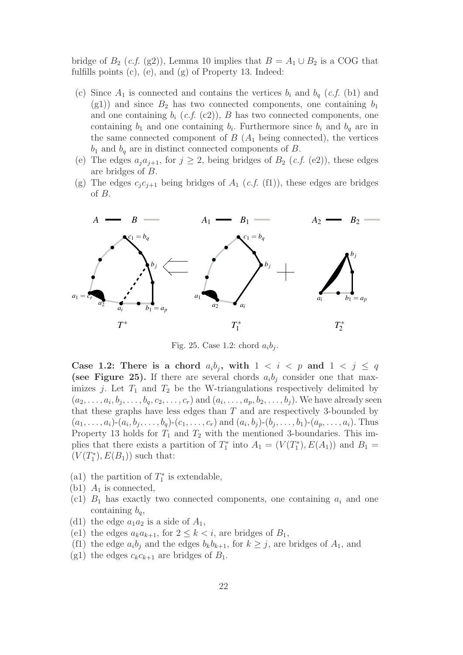bridge of  $B_2$  (c.f. (g2)), Lemma 10 implies that  $B = A_1 \cup B_2$  is a COG that fulfills points (c), (e), and (g) of Property 13. Indeed:

- (c) Since  $A_1$  is connected and contains the vertices  $b_i$  and  $b_q$  (*c.f.* (b1) and (g1)) and since  $B_2$  has two connected components, one containing  $b_1$ and one containing  $b_i$  (c.f. (c2)), B has two connected components, one containing  $b_1$  and one containing  $b_i$ . Furthermore since  $b_i$  and  $b_q$  are in the same connected component of  $B(A_1)$  being connected), the vertices  $b_1$  and  $b_q$  are in distinct connected components of B.
- (e) The edges  $a_j a_{j+1}$ , for  $j \geq 2$ , being bridges of  $B_2$  (*c.f.* (e2)), these edges are bridges of B.
- (g) The edges  $c_i c_{i+1}$  being bridges of  $A_1$  (c.f. (f1)), these edges are bridges of B.



Fig. 25. Case 1.2: chord  $a_i b_i$ .

Case 1.2: There is a chord  $a_i b_j$ , with  $1 < i < p$  and  $1 < j \le q$ (see Figure 25). If there are several chords  $a_i b_j$  consider one that maximizes j. Let  $T_1$  and  $T_2$  be the W-triangulations respectively delimited by  $(a_2,\ldots,a_i,b_j,\ldots,b_q,c_2,\ldots,c_r)$  and  $(a_i,\ldots,a_p,b_2,\ldots,b_j)$ . We have already seen that these graphs have less edges than  $T$  and are respectively 3-bounded by  $(a_1, \ldots, a_i)$ - $(a_i, b_j, \ldots, b_q)$ - $(c_1, \ldots, c_r)$  and  $(a_i, b_j)$ - $(b_j, \ldots, b_1)$ - $(a_p, \ldots, a_i)$ . Thus Property 13 holds for  $T_1$  and  $T_2$  with the mentioned 3-boundaries. This implies that there exists a partition of  $T_1^*$  into  $A_1 = (V(T_1^*), E(A_1))$  and  $B_1 =$  $(V(T_1^*), E(B_1))$  such that:

- (a1) the partition of  $T_1^*$  is extendable,
- (b1)  $A_1$  is connected,
- (c1)  $B_1$  has exactly two connected components, one containing  $a_i$  and one containing  $b_q$ ,
- (d1) the edge  $a_1a_2$  is a side of  $A_1$ ,
- (e1) the edges  $a_k a_{k+1}$ , for  $2 \leq k \leq i$ , are bridges of  $B_1$ ,
- (f1) the edge  $a_ib_j$  and the edges  $b_kb_{k+1}$ , for  $k \geq j$ , are bridges of  $A_1$ , and
- (g1) the edges  $c_k c_{k+1}$  are bridges of  $B_1$ .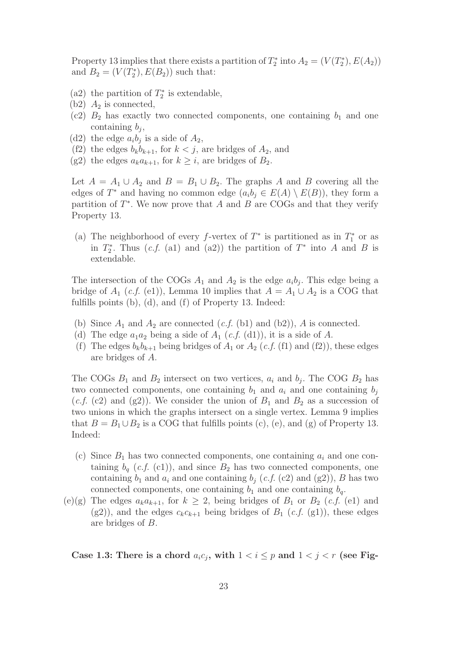Property 13 implies that there exists a partition of  $T_2^*$  into  $A_2 = (V(T_2^*), E(A_2))$ and  $B_2 = (V(T_2^*), E(B_2))$  such that:

- (a2) the partition of  $T_2^*$  is extendable,
- $(b2)$   $A_2$  is connected,
- (c2)  $B_2$  has exactly two connected components, one containing  $b_1$  and one containing  $b_i$ ,
- (d2) the edge  $a_i b_i$  is a side of  $A_2$ ,
- (f2) the edges  $b_k b_{k+1}$ , for  $k < j$ , are bridges of  $A_2$ , and
- (g2) the edges  $a_k a_{k+1}$ , for  $k \geq i$ , are bridges of  $B_2$ .

Let  $A = A_1 \cup A_2$  and  $B = B_1 \cup B_2$ . The graphs A and B covering all the edges of  $T^*$  and having no common edge  $(a_i b_j \in E(A) \setminus E(B))$ , they form a partition of  $T^*$ . We now prove that A and B are COGs and that they verify Property 13.

(a) The neighborhood of every f-vertex of  $T^*$  is partitioned as in  $T_1^*$  or as in  $T_2^*$ . Thus  $(c.f. (a1)$  and  $(a2))$  the partition of  $T^*$  into A and B is extendable.

The intersection of the COGs  $A_1$  and  $A_2$  is the edge  $a_i b_j$ . This edge being a bridge of  $A_1$  (c.f. (e1)), Lemma 10 implies that  $A = A_1 \cup A_2$  is a COG that fulfills points (b), (d), and (f) of Property 13. Indeed:

- (b) Since  $A_1$  and  $A_2$  are connected  $(c.f.$  (b1) and (b2)), A is connected.
- (d) The edge  $a_1a_2$  being a side of  $A_1$  (c.f. (d1)), it is a side of A.
- (f) The edges  $b_k b_{k+1}$  being bridges of  $A_1$  or  $A_2$  (c.f. (f1) and (f2)), these edges are bridges of A.

The COGs  $B_1$  and  $B_2$  intersect on two vertices,  $a_i$  and  $b_j$ . The COG  $B_2$  has two connected components, one containing  $b_1$  and  $a_i$  and one containing  $b_i$  $(c.f. (c2)$  and  $(g2)$ ). We consider the union of  $B_1$  and  $B_2$  as a succession of two unions in which the graphs intersect on a single vertex. Lemma 9 implies that  $B = B_1 \cup B_2$  is a COG that fulfills points (c), (e), and (g) of Property 13. Indeed:

- (c) Since  $B_1$  has two connected components, one containing  $a_i$  and one containing  $b_q$  (c.f. (c1)), and since  $B_2$  has two connected components, one containing  $b_1$  and  $a_i$  and one containing  $b_j$  (*c.f.* (c2) and (g2)), B has two connected components, one containing  $b_1$  and one containing  $b_q$ .
- (e)(g) The edges  $a_k a_{k+1}$ , for  $k \geq 2$ , being bridges of  $B_1$  or  $B_2$  (*c.f.* (e1) and (g2)), and the edges  $c_k c_{k+1}$  being bridges of  $B_1$  (c.f. (g1)), these edges are bridges of B.

Case 1.3: There is a chord  $a_i c_j$ , with  $1 < i \leq p$  and  $1 < j < r$  (see Fig-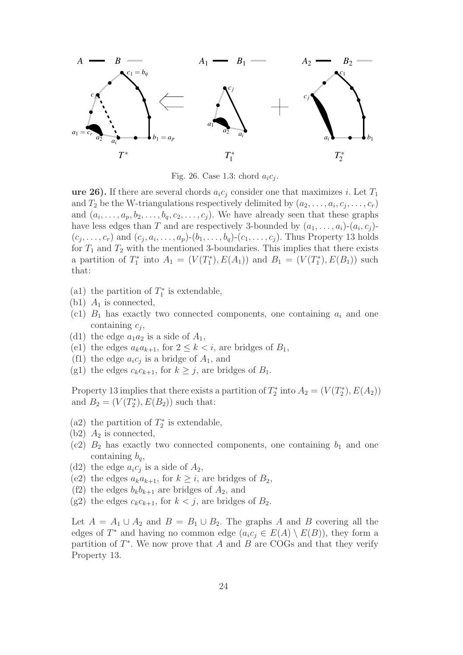

Fig. 26. Case 1.3: chord  $a_i c_i$ .

ure 26). If there are several chords  $a_i c_j$  consider one that maximizes i. Let  $T_1$ and  $T_2$  be the W-triangulations respectively delimited by  $(a_2, \ldots, a_i, c_i, \ldots, c_r)$ and  $(a_i, \ldots, a_p, b_2, \ldots, b_q, c_2, \ldots, c_j)$ . We have already seen that these graphs have less edges than T and are respectively 3-bounded by  $(a_1, \ldots, a_i)$ - $(a_i, c_i)$ - $(c_j, \ldots, c_r)$  and  $(c_j, a_i, \ldots, a_p)$ - $(b_1, \ldots, b_q)$ - $(c_1, \ldots, c_j)$ . Thus Property 13 holds for  $T_1$  and  $T_2$  with the mentioned 3-boundaries. This implies that there exists a partition of  $T_1^*$  into  $A_1 = (V(T_1^*), E(A_1))$  and  $B_1 = (V(T_1^*), E(B_1))$  such that:

- (a1) the partition of  $T_1^*$  is extendable,
- (b1)  $A_1$  is connected,
- (c1)  $B_1$  has exactly two connected components, one containing  $a_i$  and one containing  $c_i$ ,
- (d1) the edge  $a_1a_2$  is a side of  $A_1$ ,
- (e1) the edges  $a_k a_{k+1}$ , for  $2 \leq k \leq i$ , are bridges of  $B_1$ ,
- (f1) the edge  $a_i c_j$  is a bridge of  $A_1$ , and
- (g1) the edges  $c_k c_{k+1}$ , for  $k \geq j$ , are bridges of  $B_1$ .

Property 13 implies that there exists a partition of  $T_2^*$  into  $A_2 = (V(T_2^*), E(A_2))$ and  $B_2 = (V(T_2^*), E(B_2))$  such that:

- (a2) the partition of  $T_2^*$  is extendable,
- (b2)  $A_2$  is connected,
- (c2)  $B_2$  has exactly two connected components, one containing  $b_1$  and one containing  $b_q$ ,
- (d2) the edge  $a_i c_j$  is a side of  $A_2$ ,
- (e2) the edges  $a_k a_{k+1}$ , for  $k \geq i$ , are bridges of  $B_2$ ,
- (f2) the edges  $b_k b_{k+1}$  are bridges of  $A_2$ , and
- (g2) the edges  $c_k c_{k+1}$ , for  $k < j$ , are bridges of  $B_2$ .

Let  $A = A_1 \cup A_2$  and  $B = B_1 \cup B_2$ . The graphs A and B covering all the edges of  $T^*$  and having no common edge  $(a_i c_j \in E(A) \setminus E(B))$ , they form a partition of  $T^*$ . We now prove that A and B are COGs and that they verify Property 13.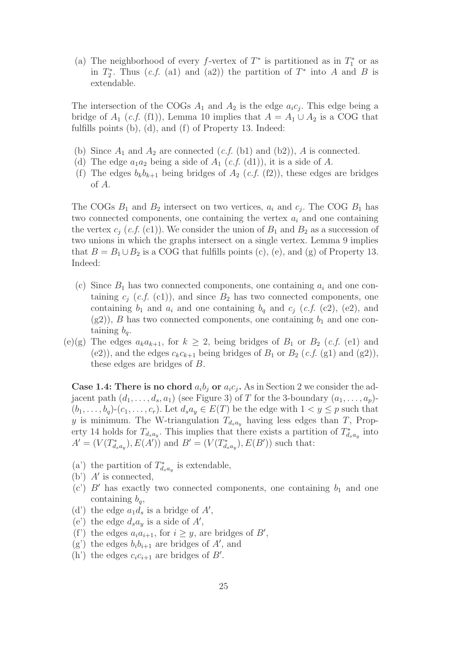(a) The neighborhood of every f-vertex of  $T^*$  is partitioned as in  $T_1^*$  or as in  $T_2^*$ . Thus  $(c.f. (a1)$  and  $(a2))$  the partition of  $T^*$  into A and B is extendable.

The intersection of the COGs  $A_1$  and  $A_2$  is the edge  $a_i c_j$ . This edge being a bridge of  $A_1$  (c.f. (f1)), Lemma 10 implies that  $A = A_1 \cup A_2$  is a COG that fulfills points (b), (d), and (f) of Property 13. Indeed:

- (b) Since  $A_1$  and  $A_2$  are connected  $(c.f.$  (b1) and (b2)), A is connected.
- (d) The edge  $a_1a_2$  being a side of  $A_1$  (c.f. (d1)), it is a side of A.
- (f) The edges  $b_k b_{k+1}$  being bridges of  $A_2$  (*c.f.* (f2)), these edges are bridges of A.

The COGs  $B_1$  and  $B_2$  intersect on two vertices,  $a_i$  and  $c_j$ . The COG  $B_1$  has two connected components, one containing the vertex  $a_i$  and one containing the vertex  $c_i$  (c.f. (c1)). We consider the union of  $B_1$  and  $B_2$  as a succession of two unions in which the graphs intersect on a single vertex. Lemma 9 implies that  $B = B_1 \cup B_2$  is a COG that fulfills points (c), (e), and (g) of Property 13. Indeed:

- (c) Since  $B_1$  has two connected components, one containing  $a_i$  and one containing  $c_j$  (*c.f.* (c1)), and since  $B_2$  has two connected components, one containing  $b_1$  and  $a_i$  and one containing  $b_q$  and  $c_j$  (*c.f.* (c2), (e2), and  $(g2)$ , B has two connected components, one containing  $b_1$  and one containing  $b_q$ .
- (e)(g) The edges  $a_k a_{k+1}$ , for  $k \geq 2$ , being bridges of  $B_1$  or  $B_2$  (*c.f.* (e1) and (e2)), and the edges  $c_k c_{k+1}$  being bridges of  $B_1$  or  $B_2$  (c.f. (g1) and (g2)), these edges are bridges of B.

Case 1.4: There is no chord  $a_i b_j$  or  $a_i c_j$ . As in Section 2 we consider the adjacent path  $(d_1,\ldots,d_s,a_1)$  (see Figure 3) of T for the 3-boundary  $(a_1,\ldots,a_p)$ - $(b_1,\ldots,b_q)-(c_1,\ldots,c_r)$ . Let  $d_s a_y \in E(T)$  be the edge with  $1 < y \leq p$  such that y is minimum. The W-triangulation  $T_{d_s a_y}$  having less edges than T, Property 14 holds for  $T_{d_s a_y}$ . This implies that there exists a partition of  $T_{d_s a_y}^*$  into  $A' = (V(T^*_{d_s a_y}), E(A'))$  and  $B' = (V(T^*_{d_s a_y}), E(B'))$  such that:

- (a') the partition of  $T_{d_s a_y}^*$  is extendable,
- (b') A′ is connected,
- (c')  $B'$  has exactly two connected components, one containing  $b_1$  and one containing  $b_{\alpha}$ ,
- (d') the edge  $a_1d_s$  is a bridge of  $A'$ ,
- (e') the edge  $d_s a_y$  is a side of  $A'$ ,
- (f') the edges  $a_i a_{i+1}$ , for  $i \geq y$ , are bridges of  $B'$ ,
- (g') the edges  $b_i b_{i+1}$  are bridges of A', and
- (h') the edges  $c_i c_{i+1}$  are bridges of  $B'$ .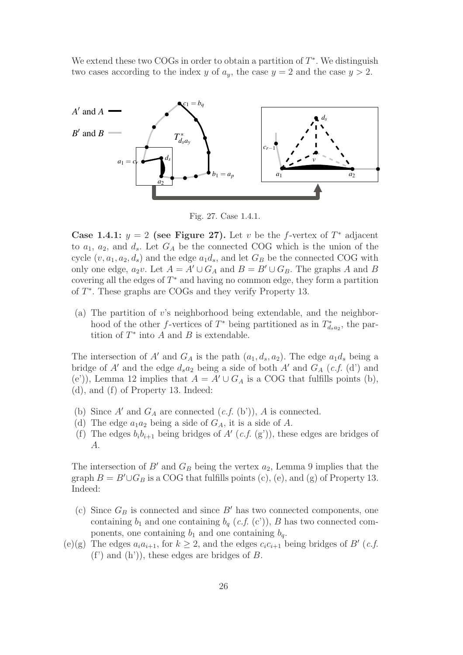We extend these two COGs in order to obtain a partition of  $T^*$ . We distinguish two cases according to the index y of  $a_y$ , the case  $y = 2$  and the case  $y > 2$ .



Fig. 27. Case 1.4.1.

Case 1.4.1:  $y = 2$  (see Figure 27). Let v be the f-vertex of  $T^*$  adjacent to  $a_1, a_2$ , and  $d_s$ . Let  $G_A$  be the connected COG which is the union of the cycle  $(v, a_1, a_2, d_s)$  and the edge  $a_1 d_s$ , and let  $G_B$  be the connected COG with only one edge,  $a_2v$ . Let  $A = A' \cup G_A$  and  $B = B' \cup G_B$ . The graphs A and B covering all the edges of  $T^*$  and having no common edge, they form a partition of T∗. These graphs are COGs and they verify Property 13.

(a) The partition of v's neighborhood being extendable, and the neighborhood of the other f-vertices of  $T^*$  being partitioned as in  $T^*_{d_s a_2}$ , the partition of  $T^*$  into A and B is extendable.

The intersection of A' and  $G_A$  is the path  $(a_1, d_s, a_2)$ . The edge  $a_1 d_s$  being a bridge of A' and the edge  $d_s a_2$  being a side of both A' and  $G_A$  (c.f. (d') and (e')), Lemma 12 implies that  $A = A' \cup G_A$  is a COG that fulfills points (b), (d), and (f) of Property 13. Indeed:

- (b) Since  $A'$  and  $G_A$  are connected  $(c.f.$  (b')), A is connected.
- (d) The edge  $a_1a_2$  being a side of  $G_A$ , it is a side of A.
- (f) The edges  $b_i b_{i+1}$  being bridges of A' (c.f. (g')), these edges are bridges of A.

The intersection of  $B'$  and  $G_B$  being the vertex  $a_2$ , Lemma 9 implies that the graph  $B = B' \cup G_B$  is a COG that fulfills points (c), (e), and (g) of Property 13. Indeed:

- (c) Since  $G_B$  is connected and since  $B'$  has two connected components, one containing  $b_1$  and one containing  $b_q$  (*c.f.* (c')), B has two connected components, one containing  $b_1$  and one containing  $b_q$ .
- (e)(g) The edges  $a_i a_{i+1}$ , for  $k \geq 2$ , and the edges  $c_i c_{i+1}$  being bridges of B' (c.f.  $(f')$  and  $(h')$ , these edges are bridges of B.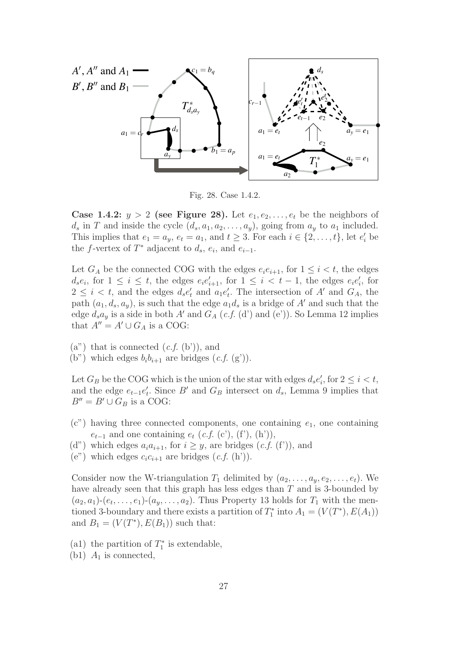

Fig. 28. Case 1.4.2.

**Case 1.4.2:**  $y > 2$  (see Figure 28). Let  $e_1, e_2, \ldots, e_t$  be the neighbors of  $d_s$  in T and inside the cycle  $(d_s, a_1, a_2, \ldots, a_y)$ , going from  $a_y$  to  $a_1$  included. This implies that  $e_1 = a_y$ ,  $e_t = a_1$ , and  $t \geq 3$ . For each  $i \in \{2, ..., t\}$ , let  $e'_i$  be the f-vertex of  $T^*$  adjacent to  $d_s$ ,  $e_i$ , and  $e_{i-1}$ .

Let  $G_A$  be the connected COG with the edges  $e_i e_{i+1}$ , for  $1 \leq i \leq t$ , the edges  $d_s e_i$ , for  $1 \leq i \leq t$ , the edges  $e_i e'_{i+1}$ , for  $1 \leq i < t-1$ , the edges  $e_i e'_i$ , for  $2 \leq i \leq t$ , and the edges  $d_s e'_t$  and  $a_1 e'_t$ . The intersection of A' and  $G_A$ , the path  $(a_1, d_s, a_y)$ , is such that the edge  $a_1 d_s$  is a bridge of A' and such that the edge  $d_s a_y$  is a side in both A' and  $G_A$  (c.f. (d') and (e')). So Lemma 12 implies that  $A'' = A' \cup G_A$  is a COG:

 $(a^{\prime\prime})$  that is connected  $(c.f. (b^{\prime}))$ , and

(b") which edges  $b_i b_{i+1}$  are bridges  $(c.f. (g'))$ .

Let  $G_B$  be the COG which is the union of the star with edges  $d_s e'_i$ , for  $2 \leq i < t$ , and the edge  $e_{t-1}e'_t$ . Since B' and  $G_B$  intersect on  $d_s$ , Lemma 9 implies that  $B'' = B' \cup G_B$  is a COG:

- $(c)$  having three connected components, one containing  $e<sub>1</sub>$ , one containing  $e_{t-1}$  and one containing  $e_t$  (*c.f.* (c'), (f'), (h')),
- (d") which edges  $a_i a_{i+1}$ , for  $i \geq y$ , are bridges  $(c.f. (f'))$ , and
- (e") which edges  $c_i c_{i+1}$  are bridges  $(c.f. (h'))$ .

Consider now the W-triangulation  $T_1$  delimited by  $(a_2,\ldots,a_v,e_2,\ldots,e_t)$ . We have already seen that this graph has less edges than T and is 3-bounded by  $(a_2, a_1)$ - $(e_t, \ldots, e_1)$ - $(a_u, \ldots, a_2)$ . Thus Property 13 holds for  $T_1$  with the mentioned 3-boundary and there exists a partition of  $T_1^*$  into  $A_1 = (V(T^*), E(A_1))$ and  $B_1 = (V(T^*), E(B_1))$  such that:

- (a1) the partition of  $T_1^*$  is extendable,
- (b1)  $A_1$  is connected,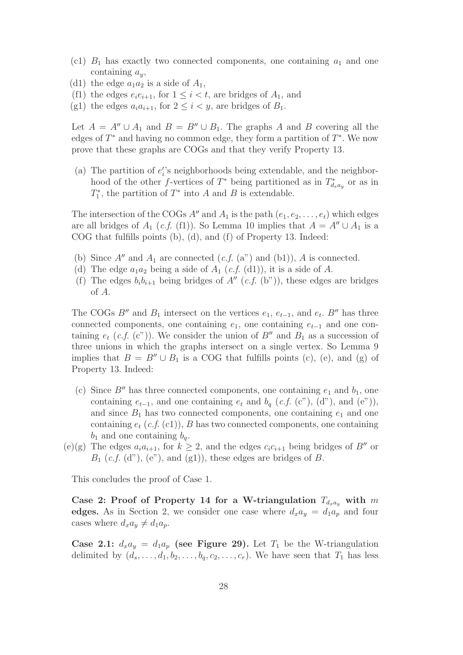- (c1)  $B_1$  has exactly two connected components, one containing  $a_1$  and one containing  $a_y$ ,
- (d1) the edge  $a_1a_2$  is a side of  $A_1$ ,
- (f1) the edges  $e_i e_{i+1}$ , for  $1 \leq i < t$ , are bridges of  $A_1$ , and
- (g1) the edges  $a_i a_{i+1}$ , for  $2 \leq i \leq y$ , are bridges of  $B_1$ .

Let  $A = A'' \cup A_1$  and  $B = B'' \cup B_1$ . The graphs A and B covering all the edges of  $T^*$  and having no common edge, they form a partition of  $T^*$ . We now prove that these graphs are COGs and that they verify Property 13.

(a) The partition of  $e_i$ 's neighborhoods being extendable, and the neighborhood of the other f-vertices of  $T^*$  being partitioned as in  $T^*_{d_s a_y}$  or as in  $T_1^*$ , the partition of  $T^*$  into A and B is extendable.

The intersection of the COGs  $A''$  and  $A_1$  is the path  $(e_1, e_2, \ldots, e_t)$  which edges are all bridges of  $A_1$  (c.f. (f1)). So Lemma 10 implies that  $A = A'' \cup A_1$  is a COG that fulfills points (b), (d), and (f) of Property 13. Indeed:

- (b) Since  $A''$  and  $A_1$  are connected  $(c.f. (a'')$  and  $(b1))$ , A is connected.
- (d) The edge  $a_1a_2$  being a side of  $A_1$  (c.f. (d1)), it is a side of A.
- (f) The edges  $b_i b_{i+1}$  being bridges of  $A''$  (c.f. (b")), these edges are bridges of A.

The COGs B″ and  $B_1$  intersect on the vertices  $e_1, e_{t-1}$ , and  $e_t$ . B″ has three connected components, one containing  $e_1$ , one containing  $e_{t-1}$  and one containing  $e_t$  (c.f. (c")). We consider the union of B'' and  $B_1$  as a succession of three unions in which the graphs intersect on a single vertex. So Lemma 9 implies that  $B = B'' \cup B_1$  is a COG that fulfills points (c), (e), and (g) of Property 13. Indeed:

- (c) Since B'' has three connected components, one containing  $e_1$  and  $b_1$ , one containing  $e_{t-1}$ , and one containing  $e_t$  and  $b_q$  (*c.f.* (c"), (d"), and (e")), and since  $B_1$  has two connected components, one containing  $e_1$  and one containing  $e_t$  (c.f. (c1)), B has two connected components, one containing  $b_1$  and one containing  $b_q$ .
- (e)(g) The edges  $a_i a_{i+1}$ , for  $k \geq 2$ , and the edges  $c_i c_{i+1}$  being bridges of B'' or  $B_1$  (c.f. (d"), (e"), and (g1)), these edges are bridges of B.

This concludes the proof of Case 1.

Case 2: Proof of Property 14 for a W-triangulation  $T_{d_{rad}}$  with m edges. As in Section 2, we consider one case where  $d_x a_y = d_1 a_p$  and four cases where  $d_x a_y \neq d_1 a_p$ .

Case 2.1:  $d_x a_y = d_1 a_y$  (see Figure 29). Let  $T_1$  be the W-triangulation delimited by  $(d_s, \ldots, d_1, b_2, \ldots, b_q, c_2, \ldots, c_r)$ . We have seen that  $T_1$  has less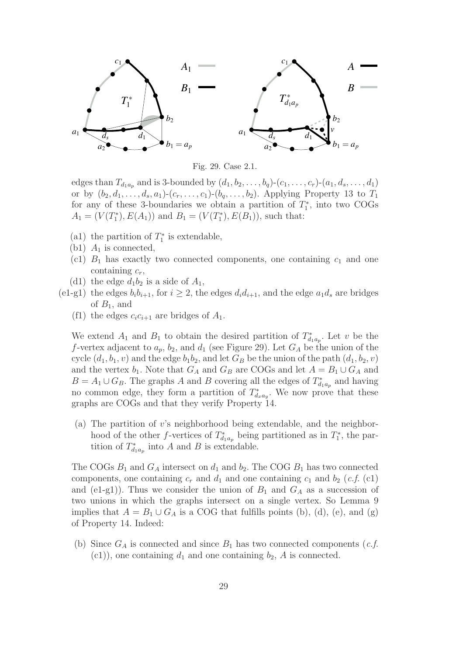

Fig. 29. Case 2.1.

edges than  $T_{d_1a_p}$  and is 3-bounded by  $(d_1, b_2, \ldots, b_q)$ - $(c_1, \ldots, c_r)$ - $(a_1, d_s, \ldots, d_1)$ or by  $(b_2, d_1, \ldots, d_s, a_1)$ - $(c_r, \ldots, c_1)$ - $(b_q, \ldots, b_2)$ . Applying Property 13 to  $T_1$ for any of these 3-boundaries we obtain a partition of  $T_1^*$ , into two COGs  $A_1 = (V(T_1^*), E(A_1))$  and  $B_1 = (V(T_1^*), E(B_1))$ , such that:

- (a1) the partition of  $T_1^*$  is extendable,
- (b1)  $A_1$  is connected,
- (c1)  $B_1$  has exactly two connected components, one containing  $c_1$  and one containing  $c_r$ ,
- (d1) the edge  $d_1b_2$  is a side of  $A_1$ ,
- (e1-g1) the edges  $b_i b_{i+1}$ , for  $i \geq 2$ , the edges  $d_i d_{i+1}$ , and the edge  $a_1 d_s$  are bridges of  $B_1$ , and
	- (f1) the edges  $c_i c_{i+1}$  are bridges of  $A_1$ .

We extend  $A_1$  and  $B_1$  to obtain the desired partition of  $T_{d_1a_p}^*$ . Let v be the f-vertex adjacent to  $a_p$ ,  $b_2$ , and  $d_1$  (see Figure 29). Let  $G_A$  be the union of the cycle  $(d_1, b_1, v)$  and the edge  $b_1b_2$ , and let  $G_B$  be the union of the path  $(d_1, b_2, v)$ and the vertex  $b_1$ . Note that  $G_A$  and  $G_B$  are COGs and let  $A = B_1 \cup G_A$  and  $B = A_1 \cup G_B$ . The graphs A and B covering all the edges of  $T_{d_1a_p}^*$  and having no common edge, they form a partition of  $T_{d_x a_y}^*$ . We now prove that these graphs are COGs and that they verify Property 14.

(a) The partition of v's neighborhood being extendable, and the neighborhood of the other f-vertices of  $T_{d_1a_p}^*$  being partitioned as in  $T_1^*$ , the partition of  $T_{d_1a_p}^*$  into A and B is extendable.

The COGs  $B_1$  and  $G_A$  intersect on  $d_1$  and  $b_2$ . The COG  $B_1$  has two connected components, one containing  $c_r$  and  $d_1$  and one containing  $c_1$  and  $b_2$  (c.f. (c1) and (e1-g1)). Thus we consider the union of  $B_1$  and  $G_A$  as a succession of two unions in which the graphs intersect on a single vertex. So Lemma 9 implies that  $A = B_1 \cup G_A$  is a COG that fulfills points (b), (d), (e), and (g) of Property 14. Indeed:

(b) Since  $G_A$  is connected and since  $B_1$  has two connected components (*c.f.*  $(c1)$ , one containing  $d_1$  and one containing  $b_2$ , A is connected.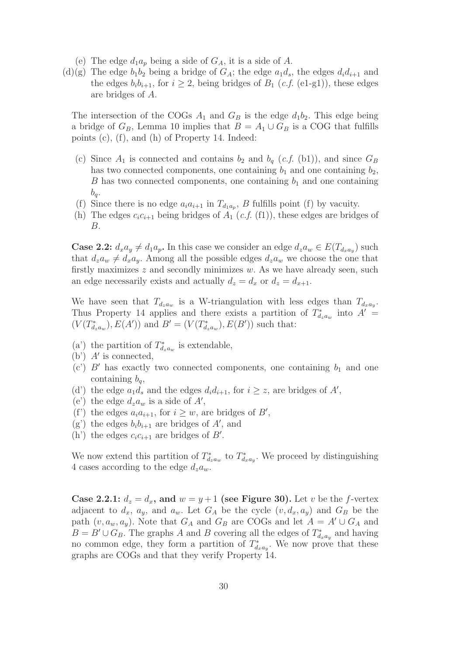- (e) The edge  $d_1a_p$  being a side of  $G_A$ , it is a side of A.
- (d)(g) The edge  $b_1b_2$  being a bridge of  $G_A$ ; the edge  $a_1d_s$ , the edges  $d_id_{i+1}$  and the edges  $b_i b_{i+1}$ , for  $i \geq 2$ , being bridges of  $B_1$  (c.f. (e1-g1)), these edges are bridges of A.

The intersection of the COGs  $A_1$  and  $G_B$  is the edge  $d_1b_2$ . This edge being a bridge of  $G_B$ , Lemma 10 implies that  $B = A_1 \cup G_B$  is a COG that fulfills points (c), (f), and (h) of Property 14. Indeed:

- (c) Since  $A_1$  is connected and contains  $b_2$  and  $b_q$  (*c.f.* (b1)), and since  $G_B$ has two connected components, one containing  $b_1$  and one containing  $b_2$ , B has two connected components, one containing  $b_1$  and one containing  $b_q$ .
- (f) Since there is no edge  $a_i a_{i+1}$  in  $T_{d_1 a_p}$ , B fulfills point (f) by vacuity.
- (h) The edges  $c_i c_{i+1}$  being bridges of  $A_1$  (c.f. (f1)), these edges are bridges of B.

**Case 2.2:**  $d_x a_y \neq d_1 a_p$ . In this case we consider an edge  $d_z a_w \in E(T_{d_x a_y})$  such that  $d_za_w \neq d_xa_y$ . Among all the possible edges  $d_za_w$  we choose the one that firstly maximizes  $z$  and secondly minimizes  $w$ . As we have already seen, such an edge necessarily exists and actually  $d_z = d_x$  or  $d_z = d_{x+1}$ .

We have seen that  $T_{d_za_w}$  is a W-triangulation with less edges than  $T_{d_xa_y}$ . Thus Property 14 applies and there exists a partition of  $T^*_{d_z a_w}$  into  $A' =$  $(V(T^*_{d_z a_w}), E(A'))$  and  $B' = (V(T^*_{d_z a_w}), E(B'))$  such that:

- (a') the partition of  $T_{d_za_w}^*$  is extendable,
- (b')  $A'$  is connected,
- (c')  $B'$  has exactly two connected components, one containing  $b_1$  and one containing  $b_q$ ,
- (d') the edge  $a_1d_s$  and the edges  $d_i d_{i+1}$ , for  $i \geq z$ , are bridges of A',
- (e') the edge  $d_z a_w$  is a side of  $A'$ ,
- (f') the edges  $a_i a_{i+1}$ , for  $i \geq w$ , are bridges of  $B'$ ,
- (g') the edges  $b_i b_{i+1}$  are bridges of A', and
- (h') the edges  $c_i c_{i+1}$  are bridges of  $B'$ .

We now extend this partition of  $T_{d_za_w}^*$  to  $T_{d_xa_y}^*$ . We proceed by distinguishing 4 cases according to the edge  $d_z a_w$ .

Case 2.2.1:  $d_z = d_x$ , and  $w = y + 1$  (see Figure 30). Let v be the f-vertex adjacent to  $d_x$ ,  $a_y$ , and  $a_w$ . Let  $G_A$  be the cycle  $(v, d_x, a_y)$  and  $G_B$  be the path  $(v, a_w, a_y)$ . Note that  $G_A$  and  $G_B$  are COGs and let  $A = A' \cup G_A$  and  $B = B' \cup G_B$ . The graphs A and B covering all the edges of  $T^*_{d_x a_y}$  and having no common edge, they form a partition of  $T_{d_x a_y}^*$ . We now prove that these graphs are COGs and that they verify Property 14.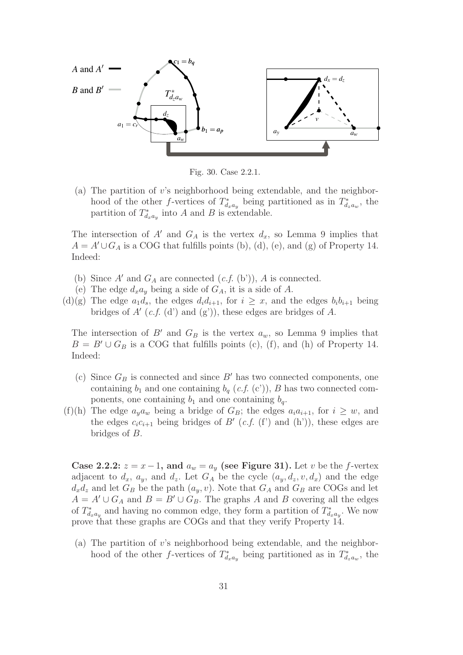

Fig. 30. Case 2.2.1.

(a) The partition of v's neighborhood being extendable, and the neighborhood of the other f-vertices of  $T_{d_x a_y}^*$  being partitioned as in  $T_{d_z a_w}^*$ , the partition of  $T_{d_x a_y}^*$  into A and B is extendable.

The intersection of A' and  $G_A$  is the vertex  $d_x$ , so Lemma 9 implies that  $A = A' \cup G_A$  is a COG that fulfills points (b), (d), (e), and (g) of Property 14. Indeed:

- (b) Since  $A'$  and  $G_A$  are connected  $(c.f.$  (b')), A is connected.
- (e) The edge  $d_x a_y$  being a side of  $G_A$ , it is a side of A.
- (d)(g) The edge  $a_1d_s$ , the edges  $d_id_{i+1}$ , for  $i \geq x$ , and the edges  $b_ib_{i+1}$  being bridges of A'  $(c.f. (d')$  and  $(g'))$ , these edges are bridges of A.

The intersection of B' and  $G_B$  is the vertex  $a_w$ , so Lemma 9 implies that  $B = B' \cup G_B$  is a COG that fulfills points (c), (f), and (h) of Property 14. Indeed:

- (c) Since  $G_B$  is connected and since B' has two connected components, one containing  $b_1$  and one containing  $b_q$  (*c.f.* (c')), B has two connected components, one containing  $b_1$  and one containing  $b_q$ .
- (f)(h) The edge  $a_y a_w$  being a bridge of  $G_B$ ; the edges  $a_i a_{i+1}$ , for  $i \geq w$ , and the edges  $c_i c_{i+1}$  being bridges of B' (c.f. (f') and (h')), these edges are bridges of B.

Case 2.2.2:  $z = x - 1$ , and  $a_w = a_w$  (see Figure 31). Let v be the f-vertex adjacent to  $d_x$ ,  $a_y$ , and  $d_z$ . Let  $G_A$  be the cycle  $(a_y, d_z, v, d_x)$  and the edge  $d_x d_z$  and let  $G_B$  be the path  $(a_y, v)$ . Note that  $G_A$  and  $G_B$  are COGs and let  $A = A' \cup G_A$  and  $B = B' \cup G_B$ . The graphs A and B covering all the edges of  $T_{d_xa_y}^*$  and having no common edge, they form a partition of  $T_{d_xa_y}^*$ . We now prove that these graphs are COGs and that they verify Property 14.

(a) The partition of v's neighborhood being extendable, and the neighborhood of the other f-vertices of  $T_{d_x a_y}^*$  being partitioned as in  $T_{d_z a_w}^*$ , the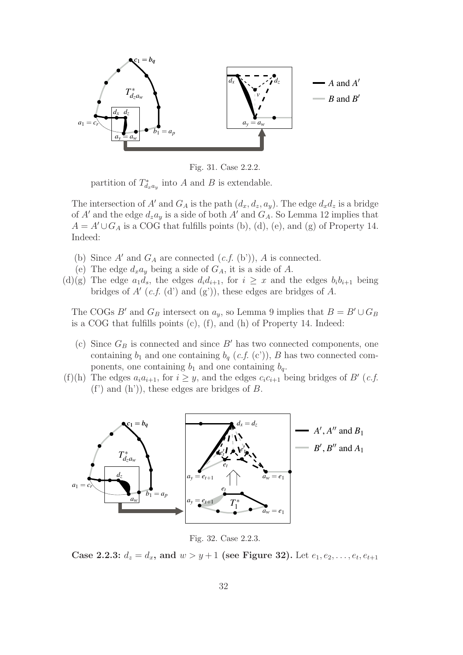

Fig. 31. Case 2.2.2.

partition of  $T_{d_xa_y}^*$  into A and B is extendable.

The intersection of A' and  $G_A$  is the path  $(d_x, d_z, a_y)$ . The edge  $d_x d_z$  is a bridge of A' and the edge  $d_za_y$  is a side of both A' and  $G_A$ . So Lemma 12 implies that  $A = A' \cup G_A$  is a COG that fulfills points (b), (d), (e), and (g) of Property 14. Indeed:

- (b) Since  $A'$  and  $G_A$  are connected  $(c.f.$  (b')), A is connected.
- (e) The edge  $d_x a_y$  being a side of  $G_A$ , it is a side of A.
- (d)(g) The edge  $a_1d_s$ , the edges  $d_i d_{i+1}$ , for  $i \geq x$  and the edges  $b_i b_{i+1}$  being bridges of  $A'$  (c.f. (d') and (g')), these edges are bridges of A.

The COGs B' and  $G_B$  intersect on  $a_y$ , so Lemma 9 implies that  $B = B' \cup G_B$ is a COG that fulfills points (c), (f), and (h) of Property 14. Indeed:

- (c) Since  $G_B$  is connected and since  $B'$  has two connected components, one containing  $b_1$  and one containing  $b_q$  (*c.f.* (c')), B has two connected components, one containing  $b_1$  and one containing  $b_q$ .
- (f)(h) The edges  $a_i a_{i+1}$ , for  $i \geq y$ , and the edges  $c_i c_{i+1}$  being bridges of B' (c.f.  $(f')$  and  $(h')$ , these edges are bridges of B.



Fig. 32. Case 2.2.3.

Case 2.2.3:  $d_z = d_x$ , and  $w > y + 1$  (see Figure 32). Let  $e_1, e_2, \ldots, e_t, e_{t+1}$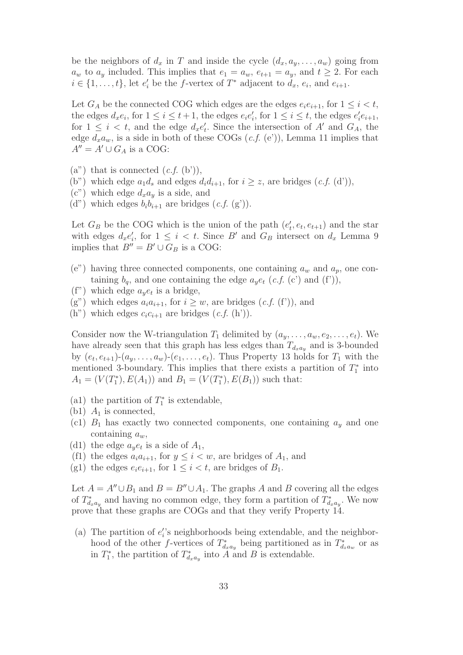be the neighbors of  $d_x$  in T and inside the cycle  $(d_x, a_y, \ldots, a_w)$  going from  $a_w$  to  $a_y$  included. This implies that  $e_1 = a_w$ ,  $e_{t+1} = a_y$ , and  $t \geq 2$ . For each  $i \in \{1, \ldots, t\}$ , let  $e'_i$  be the f-vertex of  $T^*$  adjacent to  $d_x$ ,  $e_i$ , and  $e_{i+1}$ .

Let  $G_A$  be the connected COG which edges are the edges  $e_i e_{i+1}$ , for  $1 \leq i \leq t$ , the edges  $d_x e_i$ , for  $1 \leq i \leq t+1$ , the edges  $e_i e'_i$ , for  $1 \leq i \leq t$ , the edges  $e'_i e_{i+1}$ , for  $1 \leq i \leq t$ , and the edge  $d_x e'_t$ . Since the intersection of A' and  $G_A$ , the edge  $d_x a_w$ , is a side in both of these COGs  $(c.f. (e'))$ , Lemma 11 implies that  $A'' = A' \cup G_A$  is a COG:

- $(a^{\prime\prime})$  that is connected  $(c.f. (b^{\prime})),$
- (b") which edge  $a_1d_s$  and edges  $d_id_{i+1}$ , for  $i \geq z$ , are bridges  $(c.f. (d'))$ ,
- $(c")$  which edge  $d_x a_y$  is a side, and
- (d") which edges  $b_i b_{i+1}$  are bridges  $(c.f. (g'))$ .

Let  $G_B$  be the COG which is the union of the path  $(e'_t, e_t, e_{t+1})$  and the star with edges  $d_x e'_i$ , for  $1 \leq i < t$ . Since B' and  $G_B$  intersect on  $d_x$  Lemma 9 implies that  $B'' = B' \cup G_B$  is a COG:

- (e") having three connected components, one containing  $a_w$  and  $a_p$ , one containing  $b_q$ , and one containing the edge  $a_ye_t$  (*c.f.* (c') and (f')),
- (f") which edge  $a_{\psi}e_t$  is a bridge,
- (g") which edges  $a_i a_{i+1}$ , for  $i > w$ , are bridges (c.f. (f')), and
- $(h^{\prime\prime})$  which edges  $c_i c_{i+1}$  are bridges  $(c.f. (h^{\prime}))$ .

Consider now the W-triangulation  $T_1$  delimited by  $(a_y, \ldots, a_w, e_2, \ldots, e_t)$ . We have already seen that this graph has less edges than  $T_{d_x a_y}$  and is 3-bounded by  $(e_t, e_{t+1})$ - $(a_y, \ldots, a_w)$ - $(e_1, \ldots, e_t)$ . Thus Property 13 holds for  $T_1$  with the mentioned 3-boundary. This implies that there exists a partition of  $T_1^*$  into  $A_1 = (V(T_1^*), E(A_1))$  and  $B_1 = (V(T_1^*), E(B_1))$  such that:

- (a1) the partition of  $T_1^*$  is extendable,
- (b1)  $A_1$  is connected,
- (c1)  $B_1$  has exactly two connected components, one containing  $a_y$  and one containing  $a_w$ ,
- (d1) the edge  $a_y e_t$  is a side of  $A_1$ ,
- (f1) the edges  $a_i a_{i+1}$ , for  $y \leq i \lt w$ , are bridges of  $A_1$ , and
- (g1) the edges  $e_i e_{i+1}$ , for  $1 \leq i < t$ , are bridges of  $B_1$ .

Let  $A = A'' \cup B_1$  and  $B = B'' \cup A_1$ . The graphs A and B covering all the edges of  $T_{d_xa_y}^*$  and having no common edge, they form a partition of  $T_{d_xa_y}^*$ . We now prove that these graphs are COGs and that they verify Property 14.

(a) The partition of  $e_i$ 's neighborhoods being extendable, and the neighborhood of the other f-vertices of  $T_{d_x a_y}^*$  being partitioned as in  $T_{d_z a_w}^*$  or as in  $T_1^*$ , the partition of  $T_{d_xa_y}^*$  into A and B is extendable.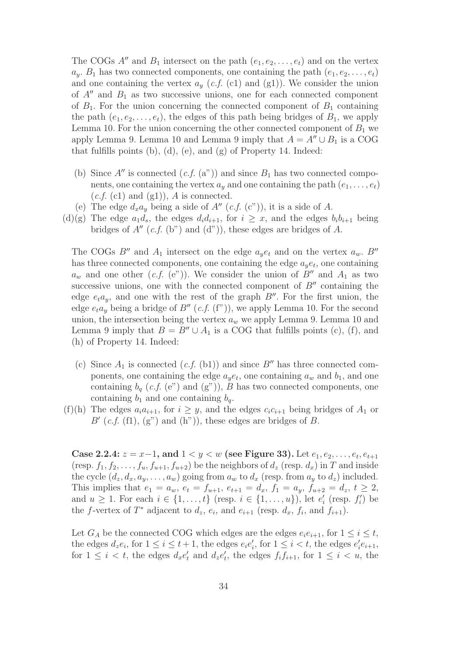The COGs A'' and  $B_1$  intersect on the path  $(e_1, e_2, \ldots, e_t)$  and on the vertex  $a_y$ .  $B_1$  has two connected components, one containing the path  $(e_1, e_2, \ldots, e_t)$ and one containing the vertex  $a_y$  (c.f. (c1) and (g1)). We consider the union of  $A''$  and  $B_1$  as two successive unions, one for each connected component of  $B_1$ . For the union concerning the connected component of  $B_1$  containing the path  $(e_1, e_2, \ldots, e_t)$ , the edges of this path being bridges of  $B_1$ , we apply Lemma 10. For the union concerning the other connected component of  $B_1$  we apply Lemma 9. Lemma 10 and Lemma 9 imply that  $A = A'' \cup B_1$  is a COG that fulfills points (b), (d), (e), and (g) of Property 14. Indeed:

- (b) Since  $A''$  is connected  $(c.f. (a''))$  and since  $B_1$  has two connected components, one containing the vertex  $a<sub>y</sub>$  and one containing the path  $(e<sub>1</sub>,...,e<sub>t</sub>)$  $(c.f. (c1)$  and  $(g1)$ ), A is connected.
- (e) The edge  $d_x a_y$  being a side of  $A''$  (c.f. (c")), it is a side of A.
- (d)(g) The edge  $a_1d_s$ , the edges  $d_i d_{i+1}$ , for  $i \geq x$ , and the edges  $b_i b_{i+1}$  being bridges of  $A''$  (c.f. (b") and (d")), these edges are bridges of A.

The COGs B<sup>''</sup> and  $A_1$  intersect on the edge  $a_{\psi}e_t$  and on the vertex  $a_w$ . B'' has three connected components, one containing the edge  $a_y e_t$ , one containing  $a_w$  and one other  $(c.f. (e^{\gamma}))$ . We consider the union of B'' and  $A_1$  as two successive unions, one with the connected component of  $B''$  containing the edge  $e_t a_y$ , and one with the rest of the graph  $B''$ . For the first union, the edge  $e_t a_y$  being a bridge of  $B''(c.f. (f''))$ , we apply Lemma 10. For the second union, the intersection being the vertex  $a_w$  we apply Lemma 9. Lemma 10 and Lemma 9 imply that  $B = B'' \cup A_1$  is a COG that fulfills points (c), (f), and (h) of Property 14. Indeed:

- (c) Since  $A_1$  is connected  $(c.f.$  (b1)) and since  $B''$  has three connected components, one containing the edge  $a_y e_t$ , one containing  $a_w$  and  $b_1$ , and one containing  $b_q$  (c.f. (e") and (g")), B has two connected components, one containing  $b_1$  and one containing  $b_q$ .
- (f)(h) The edges  $a_i a_{i+1}$ , for  $i \geq y$ , and the edges  $c_i c_{i+1}$  being bridges of  $A_1$  or  $B'(c.f. (f1), (g")$  and  $(h"))$ , these edges are bridges of B.

Case 2.2.4:  $z = x-1$ , and  $1 < y < w$  (see Figure 33). Let  $e_1, e_2, \ldots, e_t, e_{t+1}$ (resp.  $f_1, f_2, \ldots, f_u, f_{u+1}, f_{u+2}$ ) be the neighbors of  $d_z$  (resp.  $d_x$ ) in T and inside the cycle  $(d_z, d_x, a_y, \ldots, a_w)$  going from  $a_w$  to  $d_x$  (resp. from  $a_y$  to  $d_z$ ) included. This implies that  $e_1 = a_w$ ,  $e_t = f_{u+1}$ ,  $e_{t+1} = d_x$ ,  $f_1 = a_y$ ,  $f_{u+2} = d_z$ ,  $t \ge 2$ , and  $u \geq 1$ . For each  $i \in \{1, \ldots, t\}$  (resp.  $i \in \{1, \ldots, u\}$ ), let  $e'_i$  (resp.  $f'_i$ ) be the f-vertex of  $T^*$  adjacent to  $d_z$ ,  $e_i$ , and  $e_{i+1}$  (resp.  $d_x$ ,  $f_i$ , and  $f_{i+1}$ ).

Let  $G_A$  be the connected COG which edges are the edges  $e_i e_{i+1}$ , for  $1 \leq i \leq t$ , the edges  $d_z e_i$ , for  $1 \leq i \leq t+1$ , the edges  $e_i e'_i$ , for  $1 \leq i \leq t$ , the edges  $e'_i e_{i+1}$ , for  $1 \leq i < t$ , the edges  $d_x e'_t$  and  $d_z e'_t$ , the edges  $f_i f_{i+1}$ , for  $1 \leq i < u$ , the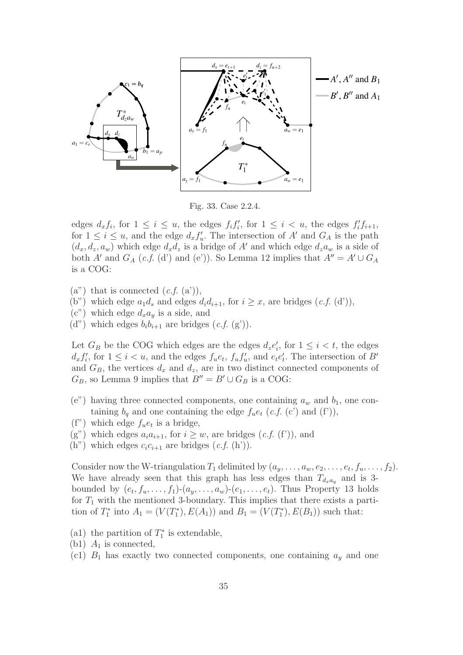

Fig. 33. Case 2.2.4.

edges  $d_x f_i$ , for  $1 \leq i \leq u$ , the edges  $f_i f'_i$ , for  $1 \leq i \leq u$ , the edges  $f'_i f_{i+1}$ , for  $1 \leq i \leq u$ , and the edge  $d_x f'_u$ . The intersection of A' and  $G_A$  is the path  $(d_x, d_z, a_w)$  which edge  $d_x d_z$  is a bridge of A' and which edge  $d_z a_w$  is a side of both A' and  $G_A$  (c.f. (d') and (e')). So Lemma 12 implies that  $A'' = A' \cup G_A$ is a COG:

- $(a'')$  that is connected  $(c.f. (a'))$ ,
- (b") which edge  $a_1d_s$  and edges  $d_id_{i+1}$ , for  $i \geq x$ , are bridges  $(c.f. (d'))$ ,
- $(c)$  which edge  $d_x a_y$  is a side, and
- (d") which edges  $b_i b_{i+1}$  are bridges  $(c.f. (g'))$ .

Let  $G_B$  be the COG which edges are the edges  $d_z e'_i$ , for  $1 \leq i < t$ , the edges  $d_x f'_i$ , for  $1 \leq i < u$ , and the edges  $f_u e_t$ ,  $f_u f'_u$ , and  $e_t e'_t$ . The intersection of B' and  $G_B$ , the vertices  $d_x$  and  $d_z$ , are in two distinct connected components of  $G_B$ , so Lemma 9 implies that  $B'' = B' \cup G_B$  is a COG:

- (e") having three connected components, one containing  $a_w$  and  $b_1$ , one containing  $b_q$  and one containing the edge  $f_u e_t$  (c.f. (c') and (f')),
- (f") which edge  $f_{u}e_{t}$  is a bridge,
- (g") which edges  $a_i a_{i+1}$ , for  $i \geq w$ , are bridges (c.f. (f')), and
- (h") which edges  $c_i c_{i+1}$  are bridges  $(c.f. (h')).$

Consider now the W-triangulation  $T_1$  delimited by  $(a_y, \ldots, a_w, e_2, \ldots, e_t, f_u, \ldots, f_2)$ . We have already seen that this graph has less edges than  $T_{d_x a_y}$  and is 3bounded by  $(e_t, f_u, \ldots, f_1)$ - $(a_y, \ldots, a_w)$ - $(e_1, \ldots, e_t)$ . Thus Property 13 holds for  $T_1$  with the mentioned 3-boundary. This implies that there exists a partition of  $T_1^*$  into  $A_1 = (V(T_1^*), E(A_1))$  and  $B_1 = (V(T_1^*), E(B_1))$  such that:

- (a1) the partition of  $T_1^*$  is extendable,
- (b1)  $A_1$  is connected,
- (c1)  $B_1$  has exactly two connected components, one containing  $a_y$  and one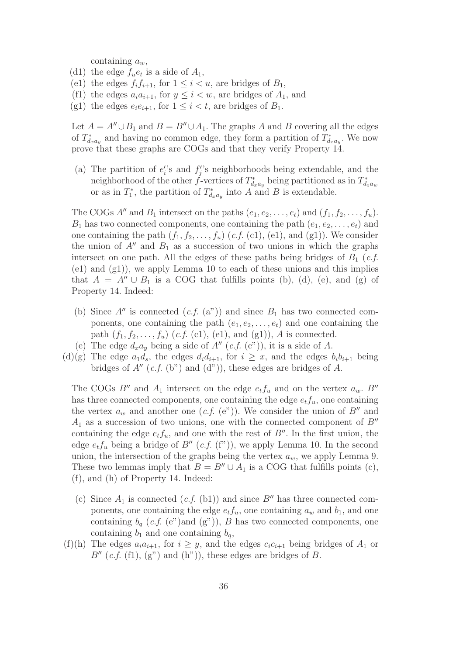containing  $a_w$ ,

- (d1) the edge  $f_{u}e_{t}$  is a side of  $A_{1}$ ,
- (e1) the edges  $f_i f_{i+1}$ , for  $1 \leq i \leq u$ , are bridges of  $B_1$ ,
- (f1) the edges  $a_i a_{i+1}$ , for  $y \leq i < w$ , are bridges of  $A_1$ , and
- (g1) the edges  $e_i e_{i+1}$ , for  $1 \leq i < t$ , are bridges of  $B_1$ .

Let  $A = A'' \cup B_1$  and  $B = B'' \cup A_1$ . The graphs A and B covering all the edges of  $T_{d_xa_y}^*$  and having no common edge, they form a partition of  $T_{d_xa_y}^*$ . We now prove that these graphs are COGs and that they verify Property 14.

(a) The partition of  $e_i$ 's and  $f_j$ 's neighborhoods being extendable, and the neighborhood of the other *f*-vertices of  $T^*_{d_x a_y}$  being partitioned as in  $T^*_{d_x a_w}$ or as in  $T_1^*$ , the partition of  $T_{d_xa_y}^*$  into A and B is extendable.

The COGs A'' and  $B_1$  intersect on the paths  $(e_1, e_2, \ldots, e_t)$  and  $(f_1, f_2, \ldots, f_u)$ .  $B_1$  has two connected components, one containing the path  $(e_1, e_2, \ldots, e_t)$  and one containing the path  $(f_1, f_2, \ldots, f_u)$   $(c.f. (c1), (e1),$  and  $(g1))$ . We consider the union of  $A''$  and  $B_1$  as a succession of two unions in which the graphs intersect on one path. All the edges of these paths being bridges of  $B_1$  (*c.f.* (e1) and (g1)), we apply Lemma 10 to each of these unions and this implies that  $A = A'' \cup B_1$  is a COG that fulfills points (b), (d), (e), and (g) of Property 14. Indeed:

- (b) Since  $A''$  is connected  $(c.f. (a''))$  and since  $B_1$  has two connected components, one containing the path  $(e_1, e_2, \ldots, e_t)$  and one containing the path  $(f_1, f_2, \ldots, f_u)$   $(c.f. (c1), (e1), and (g1)), A$  is connected.
- (e) The edge  $d_x a_y$  being a side of  $A''$  (c.f. (c")), it is a side of A.
- (d)(g) The edge  $a_1d_s$ , the edges  $d_id_{i+1}$ , for  $i \geq x$ , and the edges  $b_ib_{i+1}$  being bridges of  $A''$  (c.f. (b") and (d")), these edges are bridges of A.

The COGs B'' and  $A_1$  intersect on the edge  $e_t f_u$  and on the vertex  $a_w$ . B'' has three connected components, one containing the edge  $e_t f_u$ , one containing the vertex  $a_w$  and another one (c.f. (e")). We consider the union of  $B''$  and  $A_1$  as a succession of two unions, one with the connected component of  $B''$ containing the edge  $e_t f_u$ , and one with the rest of  $B''$ . In the first union, the edge  $e_t f_u$  being a bridge of  $B''(c.f. (f'))$ , we apply Lemma 10. In the second union, the intersection of the graphs being the vertex  $a_w$ , we apply Lemma 9. These two lemmas imply that  $B = B'' \cup A_1$  is a COG that fulfills points (c), (f), and (h) of Property 14. Indeed:

- (c) Since  $A_1$  is connected  $(c.f.$  (b1)) and since  $B''$  has three connected components, one containing the edge  $e_t f_u$ , one containing  $a_w$  and  $b_1$ , and one containing  $b_q$  (*c.f.* (e")and (g")), B has two connected components, one containing  $b_1$  and one containing  $b_q$ ,
- (f)(h) The edges  $a_i a_{i+1}$ , for  $i \geq y$ , and the edges  $c_i c_{i+1}$  being bridges of  $A_1$  or  $B''$  (c.f. (f1), (g") and (h")), these edges are bridges of B.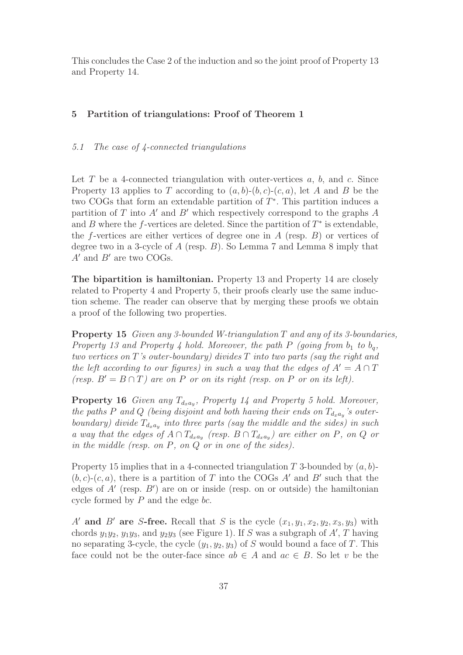This concludes the Case 2 of the induction and so the joint proof of Property 13 and Property 14.

# 5 Partition of triangulations: Proof of Theorem 1

# 5.1 The case of 4-connected triangulations

Let T be a 4-connected triangulation with outer-vertices  $a, b$ , and  $c$ . Since Property 13 applies to T according to  $(a, b)-(b, c)-(c, a)$ , let A and B be the two COGs that form an extendable partition of T∗. This partition induces a partition of T into A' and B' which respectively correspond to the graphs A and B where the f-vertices are deleted. Since the partition of  $T^*$  is extendable, the f-vertices are either vertices of degree one in  $A$  (resp.  $B$ ) or vertices of degree two in a 3-cycle of A (resp. B). So Lemma 7 and Lemma 8 imply that  $A'$  and  $B'$  are two COGs.

The bipartition is hamiltonian. Property 13 and Property 14 are closely related to Property 4 and Property 5, their proofs clearly use the same induction scheme. The reader can observe that by merging these proofs we obtain a proof of the following two properties.

Property 15 Given any 3-bounded W-triangulation T and any of its 3-boundaries, Property 13 and Property 4 hold. Moreover, the path P (going from  $b_1$  to  $b_q$ , two vertices on T's outer-boundary) divides T into two parts (say the right and the left according to our figures) in such a way that the edges of  $A' = A \cap T$ (resp.  $B' = B \cap T$ ) are on P or on its right (resp. on P or on its left).

**Property 16** Given any  $T_{d_x a_y}$ , Property 14 and Property 5 hold. Moreover, the paths P and Q (being disjoint and both having their ends on  $T_{d_x a_y}$ 's outerboundary) divide  $T_{d_xa_y}$  into three parts (say the middle and the sides) in such a way that the edges of  $A \cap T_{d_x a_y}$  (resp.  $B \cap T_{d_x a_y}$ ) are either on P, on Q or in the middle (resp. on P, on Q or in one of the sides).

Property 15 implies that in a 4-connected triangulation  $T$  3-bounded by  $(a, b)$ - $(b, c)$ - $(c, a)$ , there is a partition of T into the COGs A' and B' such that the edges of A′ (resp. B′ ) are on or inside (resp. on or outside) the hamiltonian cycle formed by  $P$  and the edge bc.

A' and B' are S-free. Recall that S is the cycle  $(x_1, y_1, x_2, y_2, x_3, y_3)$  with chords  $y_1y_2$ ,  $y_1y_3$ , and  $y_2y_3$  (see Figure 1). If S was a subgraph of  $A'$ , T having no separating 3-cycle, the cycle  $(y_1, y_2, y_3)$  of S would bound a face of T. This face could not be the outer-face since  $ab \in A$  and  $ac \in B$ . So let v be the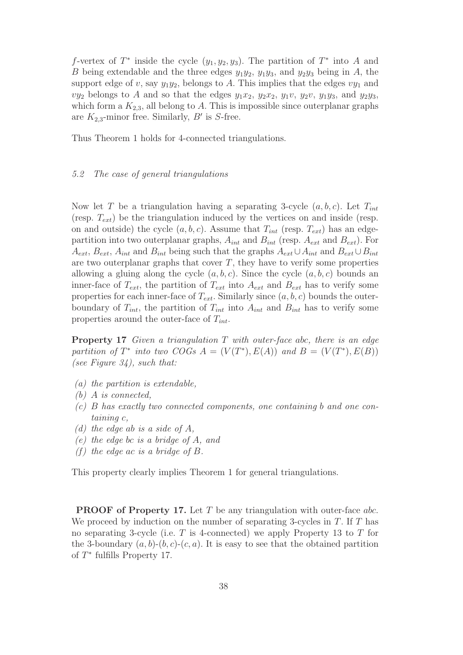f-vertex of  $T^*$  inside the cycle  $(y_1, y_2, y_3)$ . The partition of  $T^*$  into A and B being extendable and the three edges  $y_1y_2$ ,  $y_1y_3$ , and  $y_2y_3$  being in A, the support edge of v, say  $y_1y_2$ , belongs to A. This implies that the edges  $vy_1$  and  $vy_2$  belongs to A and so that the edges  $y_1x_2$ ,  $y_2x_2$ ,  $y_1v$ ,  $y_2v$ ,  $y_1y_3$ , and  $y_2y_3$ , which form a  $K_{2,3}$ , all belong to A. This is impossible since outerplanar graphs are  $K_{2,3}$ -minor free. Similarly,  $B'$  is S-free.

Thus Theorem 1 holds for 4-connected triangulations.

### 5.2 The case of general triangulations

Now let T be a triangulation having a separating 3-cycle  $(a, b, c)$ . Let  $T_{int}$ (resp.  $T_{ext}$ ) be the triangulation induced by the vertices on and inside (resp. on and outside) the cycle  $(a, b, c)$ . Assume that  $T_{int}$  (resp.  $T_{ext}$ ) has an edgepartition into two outerplanar graphs,  $A_{int}$  and  $B_{int}$  (resp.  $A_{ext}$  and  $B_{ext}$ ). For  $A_{ext}$ ,  $B_{ext}$ ,  $A_{int}$  and  $B_{int}$  being such that the graphs  $A_{ext} \cup A_{int}$  and  $B_{ext} \cup B_{int}$ are two outerplanar graphs that cover  $T$ , they have to verify some properties allowing a gluing along the cycle  $(a, b, c)$ . Since the cycle  $(a, b, c)$  bounds an inner-face of  $T_{ext}$ , the partition of  $T_{ext}$  into  $A_{ext}$  and  $B_{ext}$  has to verify some properties for each inner-face of  $T_{ext}$ . Similarly since  $(a, b, c)$  bounds the outerboundary of  $T_{int}$ , the partition of  $T_{int}$  into  $A_{int}$  and  $B_{int}$  has to verify some properties around the outer-face of  $T_{int}$ .

**Property 17** Given a triangulation  $T$  with outer-face abc, there is an edge partition of  $T^*$  into two COGs  $A = (V(T^*), E(A))$  and  $B = (V(T^*), E(B))$ (see Figure  $34$ ), such that:

- (a) the partition is extendable,
- (b) A is connected,
- (c) B has exactly two connected components, one containing b and one containing c,
- (d) the edge ab is a side of  $A$ ,
- (e) the edge bc is a bridge of A, and
- (f) the edge ac is a bridge of  $B$ .

This property clearly implies Theorem 1 for general triangulations.

PROOF of Property 17. Let T be any triangulation with outer-face abc. We proceed by induction on the number of separating 3-cycles in  $T$ . If  $T$  has no separating 3-cycle (i.e.  $T$  is 4-connected) we apply Property 13 to  $T$  for the 3-boundary  $(a, b)-(b, c)-(c, a)$ . It is easy to see that the obtained partition of  $T^*$  fulfills Property 17.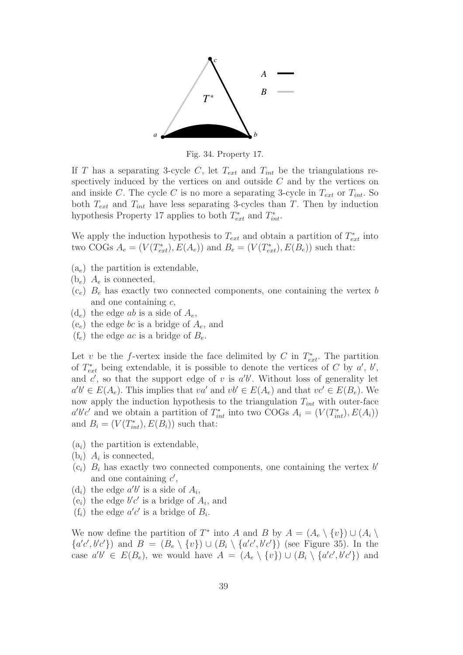

Fig. 34. Property 17.

If T has a separating 3-cycle C, let  $T_{ext}$  and  $T_{int}$  be the triangulations respectively induced by the vertices on and outside  $C$  and by the vertices on and inside C. The cycle C is no more a separating 3-cycle in  $T_{ext}$  or  $T_{int}$ . So both  $T_{ext}$  and  $T_{int}$  have less separating 3-cycles than T. Then by induction hypothesis Property 17 applies to both  $T_{ext}^*$  and  $T_{int}^*$ .

We apply the induction hypothesis to  $T_{ext}$  and obtain a partition of  $T_{ext}^*$  into two COGs  $A_e = (V(T_{ext}^*), E(A_e))$  and  $B_e = (V(T_{ext}^*), E(B_e))$  such that:

- $(a_e)$  the partition is extendable,
- $(b_e)$   $A_e$  is connected,
- $(c_e)$   $B_e$  has exactly two connected components, one containing the vertex b and one containing c,
- $(d_e)$  the edge ab is a side of  $A_e$ ,
- $(e_e)$  the edge bc is a bridge of  $A_e$ , and
- $(f_e)$  the edge *ac* is a bridge of  $B_e$ .

Let v be the f-vertex inside the face delimited by C in  $T^*_{ext}$ . The partition of  $T_{ext}^*$  being extendable, it is possible to denote the vertices of C by  $a'$ ,  $b'$ , and  $c'$ , so that the support edge of v is  $a'b'$ . Without loss of generality let  $a'b' \in E(A_e)$ . This implies that  $va'$  and  $vb' \in E(A_e)$  and that  $vc' \in E(B_e)$ . We now apply the induction hypothesis to the triangulation  $T_{int}$  with outer-face  $a'b'c'$  and we obtain a partition of  $T_{int}^*$  into two COGs  $A_i = (V(T_{int}^*), E(A_i))$ and  $B_i = (V(T_{int}^*), E(B_i))$  such that:

- $(a_i)$  the partition is extendable,
- $(b_i)$   $A_i$  is connected,
- $(c_i)$   $B_i$  has exactly two connected components, one containing the vertex b' and one containing  $c'$ ,
- $(d_i)$  the edge  $a'b'$  is a side of  $A_i$ ,
- $(e_i)$  the edge  $b'c'$  is a bridge of  $A_i$ , and
- $(f_i)$  the edge  $a'c'$  is a bridge of  $B_i$ .

We now define the partition of  $T^*$  into A and B by  $A = (A_e \setminus \{v\}) \cup (A_i \setminus$  $\{a'c', b'c'\}$  and  $B = (B_e \setminus \{v\}) \cup (B_i \setminus \{a'c', b'c'\})$  (see Figure 35). In the case  $a'b' \in E(B_e)$ , we would have  $A = (A_e \setminus \{v\}) \cup (B_i \setminus \{a'c', b'c'\})$  and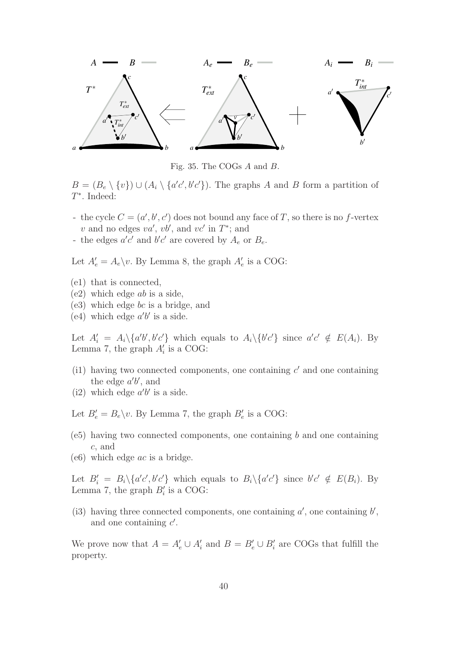

Fig. 35. The COGs A and B.

 $B = (B_e \setminus \{v\}) \cup (A_i \setminus \{a'c', b'c'\})$ . The graphs A and B form a partition of T∗. Indeed:

- the cycle  $C = (a', b', c')$  does not bound any face of T, so there is no f-vertex v and no edges  $va'$ ,  $vb'$ , and  $vc'$  in  $T^*$ ; and
- the edges  $a'c'$  and  $b'c'$  are covered by  $A_e$  or  $B_e$ .

Let  $A'_e = A_e \backslash v$ . By Lemma 8, the graph  $A'_e$  is a COG:

- (e1) that is connected,
- (e2) which edge ab is a side,
- (e3) which edge bc is a bridge, and
- (e4) which edge  $a'b'$  is a side.

Let  $A'_i = A_i \setminus \{a'b', b'c'\}$  which equals to  $A_i \setminus \{b'c'\}$  since  $a'c' \notin E(A_i)$ . By Lemma 7, the graph  $A'_i$  is a COG:

- (i1) having two connected components, one containing  $c'$  and one containing the edge  $a'b'$ , and
- (i2) which edge  $a'b'$  is a side.

Let  $B'_e = B_e \backslash v$ . By Lemma 7, the graph  $B'_e$  is a COG:

- $(e5)$  having two connected components, one containing b and one containing c, and
- $(e6)$  which edge *ac* is a bridge.

Let  $B'_i = B_i \setminus \{a'c', b'c'\}$  which equals to  $B_i \setminus \{a'c'\}$  since  $b'c' \notin E(B_i)$ . By Lemma 7, the graph  $B_i'$  is a COG:

(i3) having three connected components, one containing  $a'$ , one containing  $b'$ , and one containing  $c'$ .

We prove now that  $A = A'_e \cup A'_i$  and  $B = B'_e \cup B'_i$  are COGs that fulfill the property.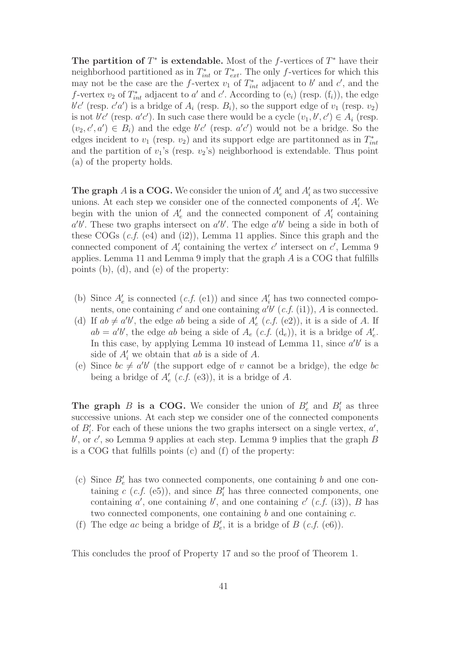The partition of  $T^*$  is extendable. Most of the f-vertices of  $T^*$  have their neighborhood partitioned as in  $T_{int}^*$  or  $T_{ext}^*$ . The only f-vertices for which this may not be the case are the *f*-vertex  $v_1$  of  $T_{int}^*$  adjacent to b' and c', and the f-vertex  $v_2$  of  $T_{int}^*$  adjacent to a' and c'. According to  $(e_i)$  (resp.  $(f_i)$ ), the edge  $b'c'$  (resp.  $c'a'$ ) is a bridge of  $A_i$  (resp.  $B_i$ ), so the support edge of  $v_1$  (resp.  $v_2$ ) is not  $b'c'$  (resp.  $a'c'$ ). In such case there would be a cycle  $(v_1, b', c') \in A_i$  (resp.  $(v_2, c', a') \in B_i$  and the edge  $b'c'$  (resp.  $a'c'$ ) would not be a bridge. So the edges incident to  $v_1$  (resp.  $v_2$ ) and its support edge are partitonned as in  $T_{int}^*$ and the partition of  $v_1$ 's (resp.  $v_2$ 's) neighborhood is extendable. Thus point (a) of the property holds.

**The graph A is a COG.** We consider the union of  $A'_e$  and  $A'_i$  as two successive unions. At each step we consider one of the connected components of  $A'_{i}$ . We begin with the union of  $A'_e$  and the connected component of  $A'_i$  containing  $a'b'$ . These two graphs intersect on  $a'b'$ . The edge  $a'b'$  being a side in both of these COGs  $(c.f. (e4)$  and  $(i2)$ ), Lemma 11 applies. Since this graph and the connected component of  $A'_i$  containing the vertex  $c'$  intersect on  $c'$ , Lemma 9 applies. Lemma 11 and Lemma 9 imply that the graph A is a COG that fulfills points (b), (d), and (e) of the property:

- (b) Since  $A'_e$  is connected  $(c.f. (e1))$  and since  $A'_i$  has two connected components, one containing  $c'$  and one containing  $a'b'$  (c.f. (i1)), A is connected.
- (d) If  $ab \neq a'b'$ , the edge ab being a side of  $A'_e$  (c.f. (e2)), it is a side of A. If  $ab = a'b'$ , the edge ab being a side of  $A_e$  (c.f. (d<sub>e</sub>)), it is a bridge of  $A'_e$ . In this case, by applying Lemma 10 instead of Lemma 11, since  $a'b'$  is a side of  $A_i'$  we obtain that ab is a side of A.
- (e) Since  $bc \neq a'b'$  (the support edge of v cannot be a bridge), the edge bc being a bridge of  $A'_e$  (*c.f.* (e3)), it is a bridge of A.

**The graph B is a COG.** We consider the union of  $B'_e$  and  $B'_i$  as three successive unions. At each step we consider one of the connected components of  $B_i'$ . For each of these unions the two graphs intersect on a single vertex,  $a'$ ,  $b'$ , or  $c'$ , so Lemma 9 applies at each step. Lemma 9 implies that the graph  $B$ is a COG that fulfills points (c) and (f) of the property:

- (c) Since  $B'_e$  has two connected components, one containing b and one containing  $c$  (*c.f.* (e5)), and since  $B_i'$  has three connected components, one containing  $a'$ , one containing  $b'$ , and one containing  $c'$  (c.f. (i3)), B has two connected components, one containing  $b$  and one containing  $c$ .
- (f) The edge ac being a bridge of  $B'_e$ , it is a bridge of  $B$  (c.f. (e6)).

This concludes the proof of Property 17 and so the proof of Theorem 1.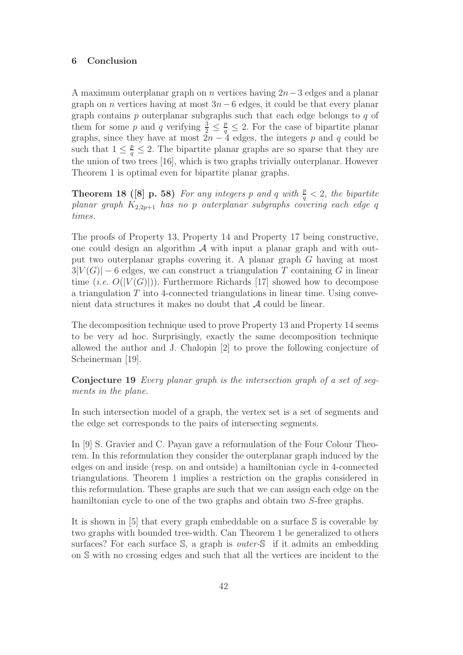## 6 Conclusion

A maximum outerplanar graph on *n* vertices having  $2n-3$  edges and a planar graph on *n* vertices having at most  $3n-6$  edges, it could be that every planar graph contains p outerplanar subgraphs such that each edge belongs to q of them for some p and q verifying  $\frac{3}{2} \leq \frac{p}{q} \leq 2$ . For the case of bipartite planar graphs, since they have at most  $2n-4$  edges, the integers p and q could be such that  $1 \leq \frac{p}{q} \leq 2$ . The bipartite planar graphs are so sparse that they are the union of two trees [16], which is two graphs trivially outerplanar. However Theorem 1 is optimal even for bipartite planar graphs.

**Theorem 18 ([8] p. 58)** For any integers p and q with  $\frac{p}{q} < 2$ , the bipartite  $planar\ graph\ K_{2,2p+1}$  has no p outerplanar subgraphs covering each edge q times.

The proofs of Property 13, Property 14 and Property 17 being constructive, one could design an algorithm  $A$  with input a planar graph and with output two outerplanar graphs covering it. A planar graph G having at most  $3|V(G)| - 6$  edges, we can construct a triangulation T containing G in linear time (*i.e.*  $O(|V(G)|)$ ). Furthermore Richards [17] showed how to decompose a triangulation T into 4-connected triangulations in linear time. Using convenient data structures it makes no doubt that  $A$  could be linear.

The decomposition technique used to prove Property 13 and Property 14 seems to be very ad hoc. Surprisingly, exactly the same decomposition technique allowed the author and J. Chalopin [2] to prove the following conjecture of Scheinerman [19].

Conjecture 19 Every planar graph is the intersection graph of a set of segments in the plane.

In such intersection model of a graph, the vertex set is a set of segments and the edge set corresponds to the pairs of intersecting segments.

In [9] S. Gravier and C. Payan gave a reformulation of the Four Colour Theorem. In this reformulation they consider the outerplanar graph induced by the edges on and inside (resp. on and outside) a hamiltonian cycle in 4-connected triangulations. Theorem 1 implies a restriction on the graphs considered in this reformulation. These graphs are such that we can assign each edge on the hamiltonian cycle to one of the two graphs and obtain two S-free graphs.

It is shown in [5] that every graph embeddable on a surface S is coverable by two graphs with bounded tree-width. Can Theorem 1 be generalized to others surfaces? For each surface S, a graph is *outer-S* if it admits an embedding on S with no crossing edges and such that all the vertices are incident to the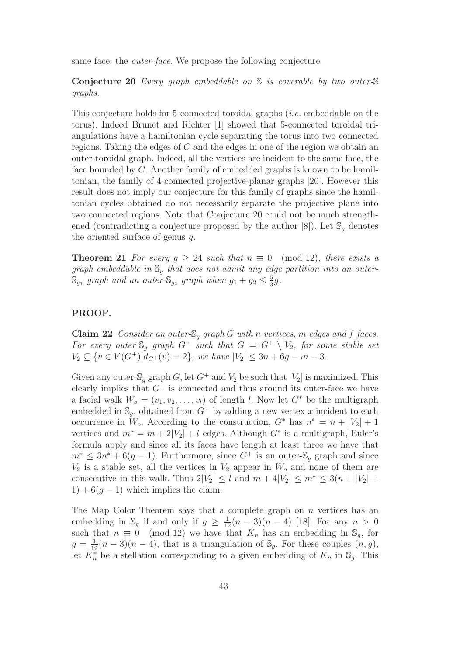same face, the *outer-face*. We propose the following conjecture.

Conjecture 20 Every graph embeddable on S is coverable by two outer-S graphs.

This conjecture holds for 5-connected toroidal graphs (i.e. embeddable on the torus). Indeed Brunet and Richter [1] showed that 5-connected toroidal triangulations have a hamiltonian cycle separating the torus into two connected regions. Taking the edges of C and the edges in one of the region we obtain an outer-toroidal graph. Indeed, all the vertices are incident to the same face, the face bounded by C. Another family of embedded graphs is known to be hamiltonian, the family of 4-connected projective-planar graphs [20]. However this result does not imply our conjecture for this family of graphs since the hamiltonian cycles obtained do not necessarily separate the projective plane into two connected regions. Note that Conjecture 20 could not be much strengthened (contradicting a conjecture proposed by the author [8]). Let  $\mathbb{S}_q$  denotes the oriented surface of genus  $q$ .

**Theorem 21** For every  $g \geq 24$  such that  $n \equiv 0 \pmod{12}$ , there exists a graph embeddable in  $\mathbb{S}_q$  that does not admit any edge partition into an outer- $\mathbb{S}_{g_1}$  graph and an outer- $\mathbb{S}_{g_2}$  graph when  $g_1 + g_2 \leq \frac{5}{3}g$ .

# PROOF.

**Claim 22** Consider an outer- $\mathbb{S}_q$  graph G with n vertices, m edges and f faces. For every outer-S<sub>q</sub> graph  $G^+$  such that  $G = G^+ \setminus V_2$ , for some stable set  $V_2 \subseteq \{v \in V(G^+)|d_{G^+}(v)=2\},\$  we have  $|V_2| \leq 3n+6g-m-3.$ 

Given any outer-S<sub>g</sub> graph G, let  $G^+$  and  $V_2$  be such that  $|V_2|$  is maximized. This clearly implies that  $G^+$  is connected and thus around its outer-face we have a facial walk  $W_o = (v_1, v_2, \ldots, v_l)$  of length l. Now let  $G^*$  be the multigraph embedded in  $\mathbb{S}_q$ , obtained from  $G^+$  by adding a new vertex x incident to each occurrence in  $W_o$ . According to the construction,  $G^*$  has  $n^* = n + |V_2| + 1$ vertices and  $m^* = m + 2|V_2| + l$  edges. Although  $G^*$  is a multigraph, Euler's formula apply and since all its faces have length at least three we have that  $m^* \leq 3n^* + 6(g-1)$ . Furthermore, since  $G^+$  is an outer-S<sub>q</sub> graph and since  $V_2$  is a stable set, all the vertices in  $V_2$  appear in  $W_0$  and none of them are consecutive in this walk. Thus  $2|V_2| \leq l$  and  $m + 4|V_2| \leq m^* \leq 3(n + |V_2| +$  $1) + 6(g - 1)$  which implies the claim.

The Map Color Theorem says that a complete graph on  $n$  vertices has an embedding in  $\mathbb{S}_g$  if and only if  $g \geq \frac{1}{12}(n-3)(n-4)$  [18]. For any  $n > 0$ such that  $n \equiv 0 \pmod{12}$  we have that  $K_n$  has an embedding in  $\mathbb{S}_q$ , for  $g = \frac{1}{12}(n-3)(n-4)$ , that is a triangulation of  $\mathbb{S}_g$ . For these couples  $(n, g)$ , let  $K_n^*$  be a stellation corresponding to a given embedding of  $K_n$  in  $\mathbb{S}_g$ . This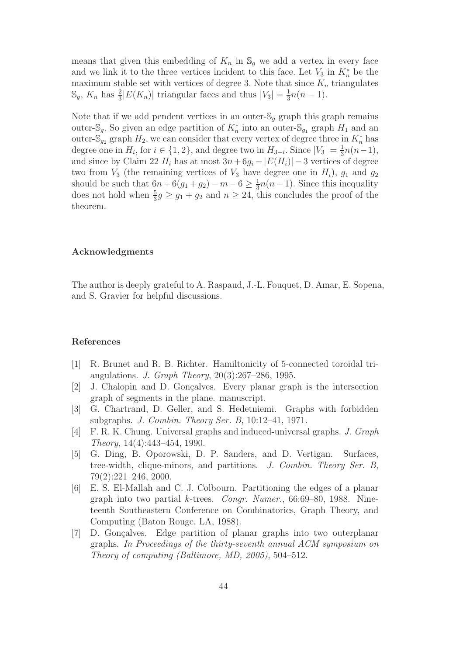means that given this embedding of  $K_n$  in  $\mathbb{S}_q$  we add a vertex in every face and we link it to the three vertices incident to this face. Let  $V_3$  in  $K_n^*$  be the maximum stable set with vertices of degree 3. Note that since  $K_n$  triangulates  $\mathbb{S}_g$ ,  $K_n$  has  $\frac{2}{3}|E(K_n)|$  triangular faces and thus  $|V_3| = \frac{1}{3}n(n-1)$ .

Note that if we add pendent vertices in an outer- $\mathcal{S}_q$  graph this graph remains outer- $\mathbb{S}_g$ . So given an edge partition of  $K_n^*$  into an outer- $\mathbb{S}_{g_1}$  graph  $H_1$  and an outer- $\mathbb{S}_{g_2}$  graph  $H_2$ , we can consider that every vertex of degree three in  $K_n^*$  has degree one in  $H_i$ , for  $i \in \{1, 2\}$ , and degree two in  $H_{3-i}$ . Since  $|V_3| = \frac{1}{3}n(n-1)$ , and since by Claim 22  $H_i$  has at most  $3n+6g_i - |E(H_i)|-3$  vertices of degree two from  $V_3$  (the remaining vertices of  $V_3$  have degree one in  $H_i$ ),  $g_1$  and  $g_2$ should be such that  $6n + 6(g_1 + g_2) - m - 6 \ge \frac{1}{3}n(n-1)$ . Since this inequality does not hold when  $\frac{5}{3}g \geq g_1 + g_2$  and  $n \geq 24$ , this concludes the proof of the theorem.

## Acknowledgments

The author is deeply grateful to A. Raspaud, J.-L. Fouquet, D. Amar, E. Sopena, and S. Gravier for helpful discussions.

### References

- [1] R. Brunet and R. B. Richter. Hamiltonicity of 5-connected toroidal triangulations. J. Graph Theory, 20(3):267–286, 1995.
- [2] J. Chalopin and D. Gonçalves. Every planar graph is the intersection graph of segments in the plane. manuscript.
- [3] G. Chartrand, D. Geller, and S. Hedetniemi. Graphs with forbidden subgraphs. J. Combin. Theory Ser. B, 10:12–41, 1971.
- [4] F. R. K. Chung. Universal graphs and induced-universal graphs. J. Graph Theory, 14(4):443–454, 1990.
- [5] G. Ding, B. Oporowski, D. P. Sanders, and D. Vertigan. Surfaces, tree-width, clique-minors, and partitions. J. Combin. Theory Ser. B, 79(2):221–246, 2000.
- [6] E. S. El-Mallah and C. J. Colbourn. Partitioning the edges of a planar graph into two partial k-trees. Congr. Numer., 66:69–80, 1988. Nineteenth Southeastern Conference on Combinatorics, Graph Theory, and Computing (Baton Rouge, LA, 1988).
- [7] D. Gonçalves. Edge partition of planar graphs into two outerplanar graphs. In Proceedings of the thirty-seventh annual ACM symposium on Theory of computing (Baltimore, MD, 2005), 504–512.